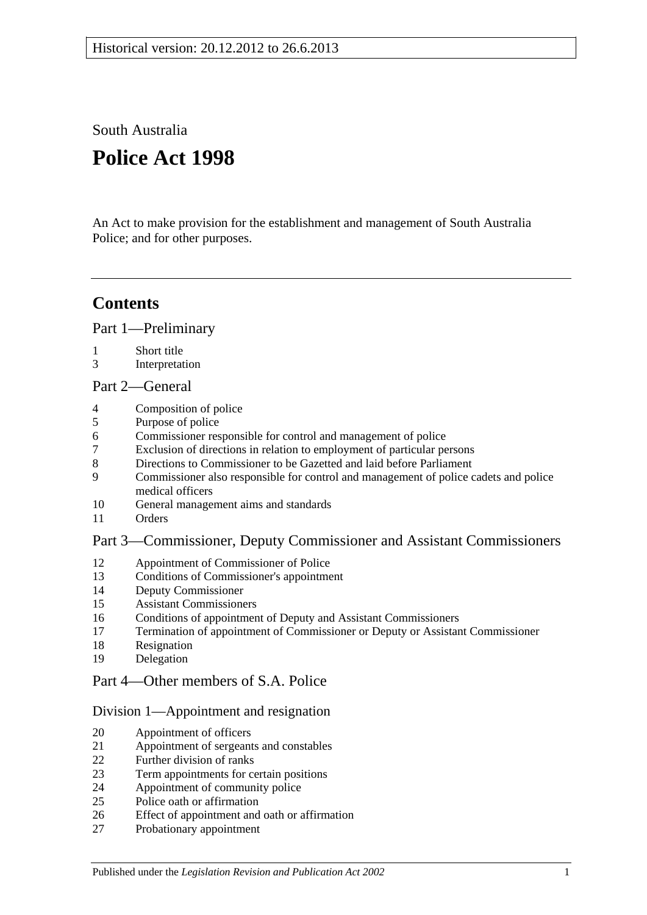South Australia

# **Police Act 1998**

An Act to make provision for the establishment and management of South Australia Police; and for other purposes.

## **Contents**

[Part 1—Preliminary](#page-2-0)

- [Short title](#page-2-1)
- [Interpretation](#page-2-2)

#### [Part 2—General](#page-3-0)

- [Composition of police](#page-3-1)
- [Purpose of police](#page-4-0)
- [Commissioner responsible for control and management of police](#page-4-1)
- [Exclusion of directions in relation to employment of particular persons](#page-4-2)
- [Directions to Commissioner to be Gazetted and laid before Parliament](#page-4-3)
- [Commissioner also responsible for control and management of police cadets and police](#page-4-4)  [medical officers](#page-4-4)
- [General management aims and standards](#page-4-5)
- [Orders](#page-5-0)

## [Part 3—Commissioner, Deputy Commissioner and Assistant Commissioners](#page-5-1)

- [Appointment of Commissioner of Police](#page-5-2)<br>13 Conditions of Commissioner's appointme
- [Conditions of Commissioner's appointment](#page-6-0)
- [Deputy Commissioner](#page-6-1)
- [Assistant Commissioners](#page-6-2)
- [Conditions of appointment of Deputy and Assistant Commissioners](#page-7-0)
- [Termination of appointment of Commissioner or Deputy or Assistant Commissioner](#page-7-1)
- [Resignation](#page-8-0)
- [Delegation](#page-8-1)

## [Part 4—Other members of S.A. Police](#page-9-0)

## [Division 1—Appointment and resignation](#page-9-1)

- [Appointment of officers](#page-9-2)
- [Appointment of sergeants and constables](#page-9-3)
- [Further division of ranks](#page-9-4)
- [Term appointments for certain positions](#page-9-5)
- [Appointment of community police](#page-9-6)
- [Police oath or affirmation](#page-10-0)
- [Effect of appointment and oath or affirmation](#page-10-1)
- [Probationary appointment](#page-10-2)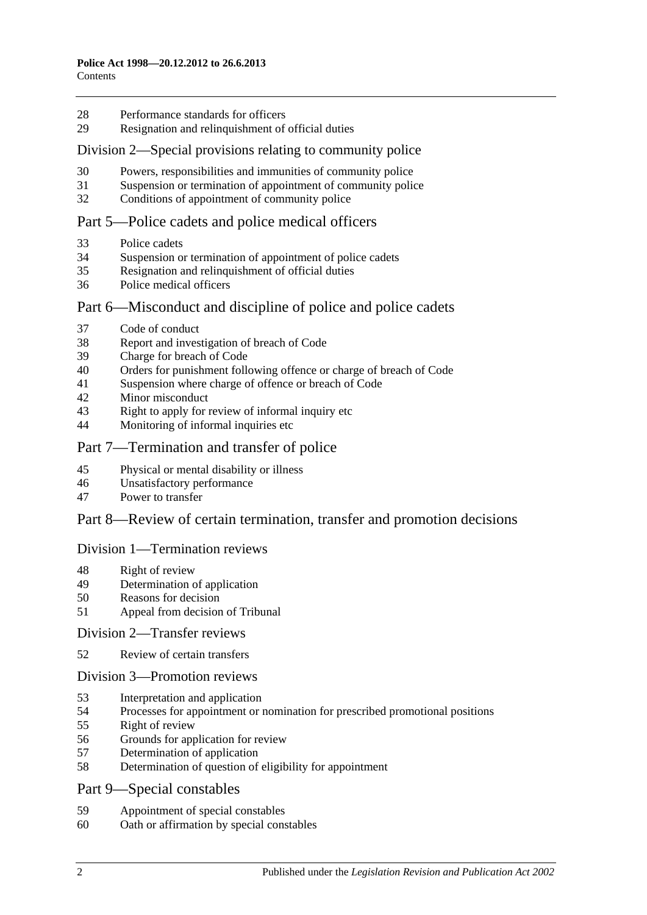- [Performance standards for officers](#page-11-0)
- Resignation [and relinquishment of official duties](#page-11-1)

#### [Division 2—Special provisions relating to community police](#page-11-2)

- [Powers, responsibilities and immunities of community police](#page-11-3)
- [Suspension or termination of appointment of community police](#page-11-4)
- [Conditions of appointment of community police](#page-12-0)

#### [Part 5—Police cadets and police medical officers](#page-12-1)

- [Police cadets](#page-12-2)
- [Suspension or termination of appointment of police cadets](#page-12-3)
- [Resignation and relinquishment of official duties](#page-12-4)
- [Police medical officers](#page-12-5)

#### Part [6—Misconduct and discipline of police and police cadets](#page-12-6)

- [Code of conduct](#page-12-7)
- [Report and investigation of breach of Code](#page-13-0)
- [Charge for breach of Code](#page-13-1)
- [Orders for punishment following offence or charge of breach of Code](#page-13-2)
- [Suspension where charge of offence or breach of Code](#page-14-0)
- [Minor misconduct](#page-15-0)
- [Right to apply for review of informal inquiry etc](#page-16-0)
- [Monitoring of informal inquiries etc](#page-17-0)

#### [Part 7—Termination and transfer of police](#page-17-1)

- [Physical or mental disability or illness](#page-17-2)
- [Unsatisfactory performance](#page-17-3)
- [Power to transfer](#page-18-0)

#### [Part 8—Review of certain termination, transfer and promotion decisions](#page-18-1)

#### [Division 1—Termination reviews](#page-18-2)

- [Right of review](#page-18-3)
- [Determination of application](#page-19-0)
- [Reasons for decision](#page-19-1)
- [Appeal from decision of Tribunal](#page-19-2)

#### [Division 2—Transfer reviews](#page-19-3)

[Review of certain transfers](#page-19-4)

#### [Division 3—Promotion reviews](#page-20-0)

- [Interpretation and application](#page-20-1)
- [Processes for appointment or nomination for prescribed promotional positions](#page-20-2)
- [Right of review](#page-20-3)
- [Grounds for application for review](#page-20-4)
- [Determination of application](#page-21-0)
- [Determination of question of eligibility for appointment](#page-21-1)
- [Part 9—Special constables](#page-21-2)
- [Appointment of special constables](#page-21-3)
- [Oath or affirmation by special constables](#page-21-4)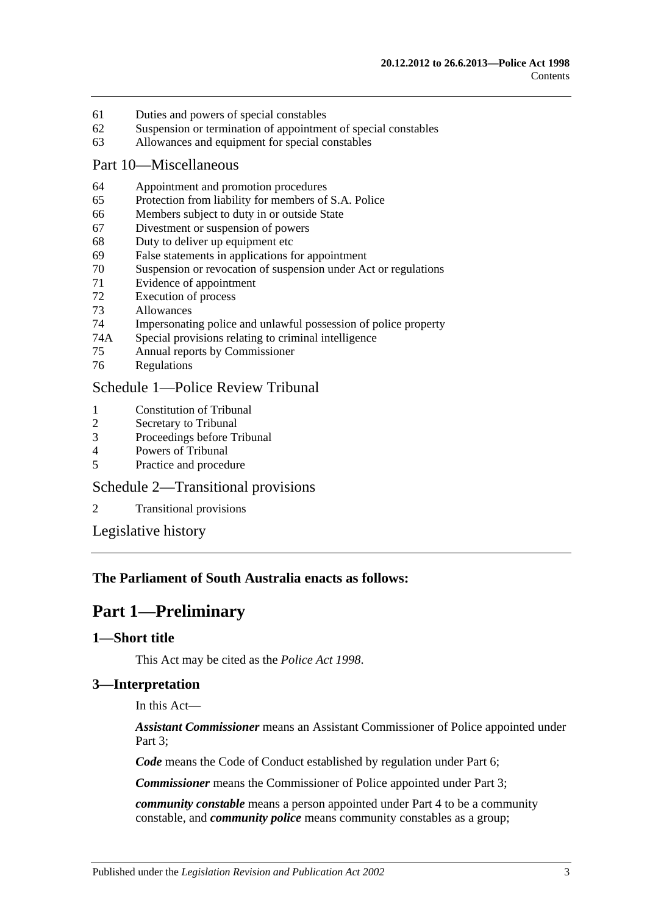- 61 [Duties and powers of special constables](#page-21-5)
- 62 [Suspension or termination of appointment of special constables](#page-22-0)
- 63 [Allowances and equipment for special constables](#page-22-1)

#### [Part 10—Miscellaneous](#page-22-2)

- 64 [Appointment and promotion procedures](#page-22-3)
- 65 [Protection from liability for members of S.A. Police](#page-22-4)
- 66 [Members subject to duty in or outside State](#page-22-5)
- 67 [Divestment or suspension of powers](#page-23-0)
- 68 [Duty to deliver up equipment etc](#page-23-1)
- 69 [False statements in applications for appointment](#page-23-2)
- 70 [Suspension or revocation of suspension under Act or regulations](#page-23-3)
- 71 [Evidence of appointment](#page-24-0)
- 72 [Execution of process](#page-24-1)
- 73 [Allowances](#page-24-2)
- 74 [Impersonating police and unlawful possession of police property](#page-25-0)
- 74A [Special provisions relating to criminal intelligence](#page-25-1)
- 75 [Annual reports by Commissioner](#page-26-0)
- 76 [Regulations](#page-26-1)

## [Schedule 1—Police Review Tribunal](#page-27-0)

- 1 [Constitution of Tribunal](#page-27-1)<br>2 Secretary to Tribunal
- [Secretary to Tribunal](#page-27-2)
- 3 [Proceedings before Tribunal](#page-27-3)
- 4 [Powers of Tribunal](#page-28-0)
- 5 [Practice and procedure](#page-28-1)

## [Schedule 2—Transitional provisions](#page-28-2)

2 [Transitional provisions](#page-28-3)

[Legislative history](#page-30-0)

## <span id="page-2-0"></span>**The Parliament of South Australia enacts as follows:**

## **Part 1—Preliminary**

#### <span id="page-2-1"></span>**1—Short title**

This Act may be cited as the *Police Act 1998*.

## <span id="page-2-2"></span>**3—Interpretation**

In this Act—

*Assistant Commissioner* means an Assistant Commissioner of Police appointed under Part 3:

*Code* means the Code of Conduct established by regulation under [Part 6;](#page-12-6)

*Commissioner* means the Commissioner of Police appointed under [Part 3;](#page-5-1)

*community constable* means a person appointed under [Part 4](#page-9-0) to be a community constable, and *community police* means community constables as a group;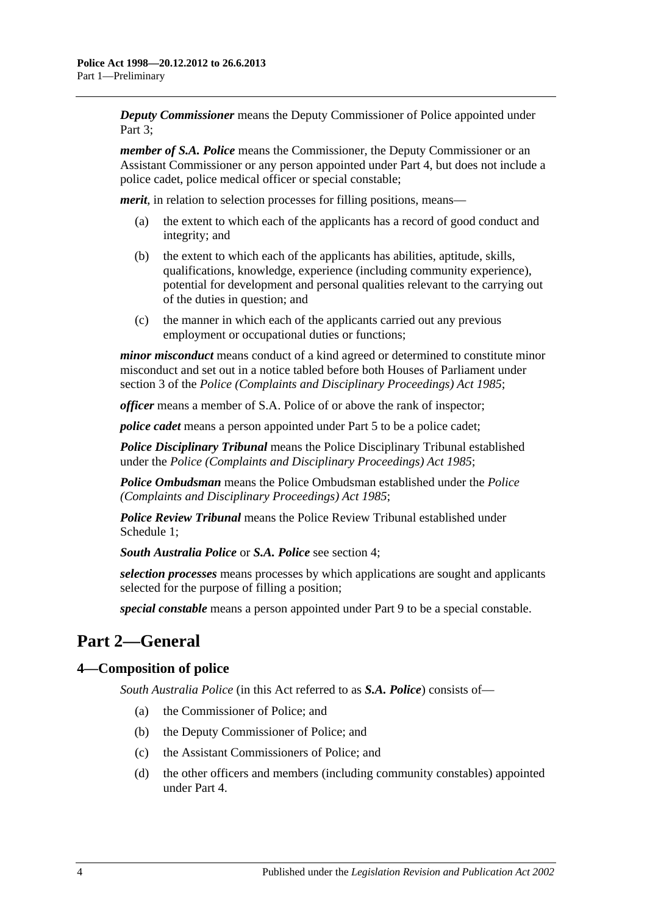*Deputy Commissioner* means the Deputy Commissioner of Police appointed under Part 3:

*member of S.A. Police* means the Commissioner, the Deputy Commissioner or an Assistant Commissioner or any person appointed under [Part 4,](#page-9-0) but does not include a police cadet, police medical officer or special constable;

*merit*, in relation to selection processes for filling positions, means—

- (a) the extent to which each of the applicants has a record of good conduct and integrity; and
- (b) the extent to which each of the applicants has abilities, aptitude, skills, qualifications, knowledge, experience (including community experience), potential for development and personal qualities relevant to the carrying out of the duties in question; and
- (c) the manner in which each of the applicants carried out any previous employment or occupational duties or functions;

*minor misconduct* means conduct of a kind agreed or determined to constitute minor misconduct and set out in a notice tabled before both Houses of Parliament under section 3 of the *[Police \(Complaints and Disciplinary Proceedings\) Act](http://www.legislation.sa.gov.au/index.aspx?action=legref&type=act&legtitle=Police%20(Complaints%20and%20Disciplinary%20Proceedings)%20Act%201985) 1985*;

*officer* means a member of S.A. Police of or above the rank of inspector;

*police cadet* means a person appointed under [Part 5](#page-12-1) to be a police cadet;

*Police Disciplinary Tribunal* means the Police Disciplinary Tribunal established under the *[Police \(Complaints and Disciplinary Proceedings\) Act](http://www.legislation.sa.gov.au/index.aspx?action=legref&type=act&legtitle=Police%20(Complaints%20and%20Disciplinary%20Proceedings)%20Act%201985) 1985*;

*Police Ombudsman* means the Police Ombudsman established under the *[Police](http://www.legislation.sa.gov.au/index.aspx?action=legref&type=act&legtitle=Police%20(Complaints%20and%20Disciplinary%20Proceedings)%20Act%201985)  [\(Complaints and Disciplinary Proceedings\) Act](http://www.legislation.sa.gov.au/index.aspx?action=legref&type=act&legtitle=Police%20(Complaints%20and%20Disciplinary%20Proceedings)%20Act%201985) 1985*;

*Police Review Tribunal* means the Police Review Tribunal established under [Schedule](#page-27-0) 1;

*South Australia Police* or *S.A. Police* see [section](#page-3-1) 4;

*selection processes* means processes by which applications are sought and applicants selected for the purpose of filling a position;

*special constable* means a person appointed under [Part 9](#page-21-2) to be a special constable.

# <span id="page-3-0"></span>**Part 2—General**

## <span id="page-3-1"></span>**4—Composition of police**

*South Australia Police* (in this Act referred to as *S.A. Police*) consists of—

- (a) the Commissioner of Police; and
- (b) the Deputy Commissioner of Police; and
- (c) the Assistant Commissioners of Police; and
- (d) the other officers and members (including community constables) appointed under [Part 4.](#page-9-0)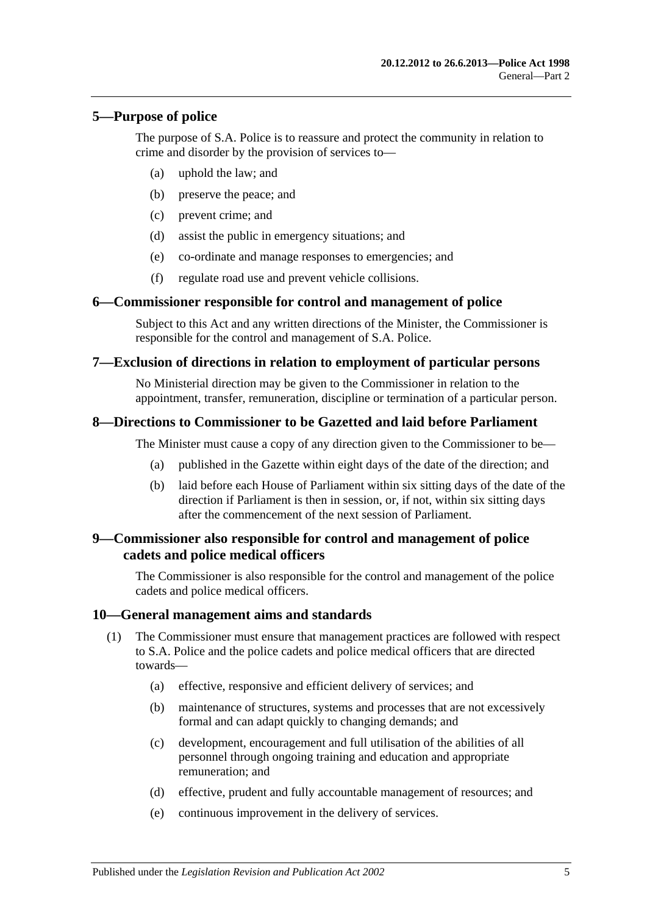#### <span id="page-4-0"></span>**5—Purpose of police**

The purpose of S.A. Police is to reassure and protect the community in relation to crime and disorder by the provision of services to—

- (a) uphold the law; and
- (b) preserve the peace; and
- (c) prevent crime; and
- (d) assist the public in emergency situations; and
- (e) co-ordinate and manage responses to emergencies; and
- (f) regulate road use and prevent vehicle collisions.

#### <span id="page-4-1"></span>**6—Commissioner responsible for control and management of police**

Subject to this Act and any written directions of the Minister, the Commissioner is responsible for the control and management of S.A. Police.

#### <span id="page-4-2"></span>**7—Exclusion of directions in relation to employment of particular persons**

No Ministerial direction may be given to the Commissioner in relation to the appointment, transfer, remuneration, discipline or termination of a particular person.

#### <span id="page-4-3"></span>**8—Directions to Commissioner to be Gazetted and laid before Parliament**

The Minister must cause a copy of any direction given to the Commissioner to be—

- (a) published in the Gazette within eight days of the date of the direction; and
- (b) laid before each House of Parliament within six sitting days of the date of the direction if Parliament is then in session, or, if not, within six sitting days after the commencement of the next session of Parliament.

#### <span id="page-4-4"></span>**9—Commissioner also responsible for control and management of police cadets and police medical officers**

The Commissioner is also responsible for the control and management of the police cadets and police medical officers.

#### <span id="page-4-5"></span>**10—General management aims and standards**

- (1) The Commissioner must ensure that management practices are followed with respect to S.A. Police and the police cadets and police medical officers that are directed towards—
	- (a) effective, responsive and efficient delivery of services; and
	- (b) maintenance of structures, systems and processes that are not excessively formal and can adapt quickly to changing demands; and
	- (c) development, encouragement and full utilisation of the abilities of all personnel through ongoing training and education and appropriate remuneration; and
	- (d) effective, prudent and fully accountable management of resources; and
	- (e) continuous improvement in the delivery of services.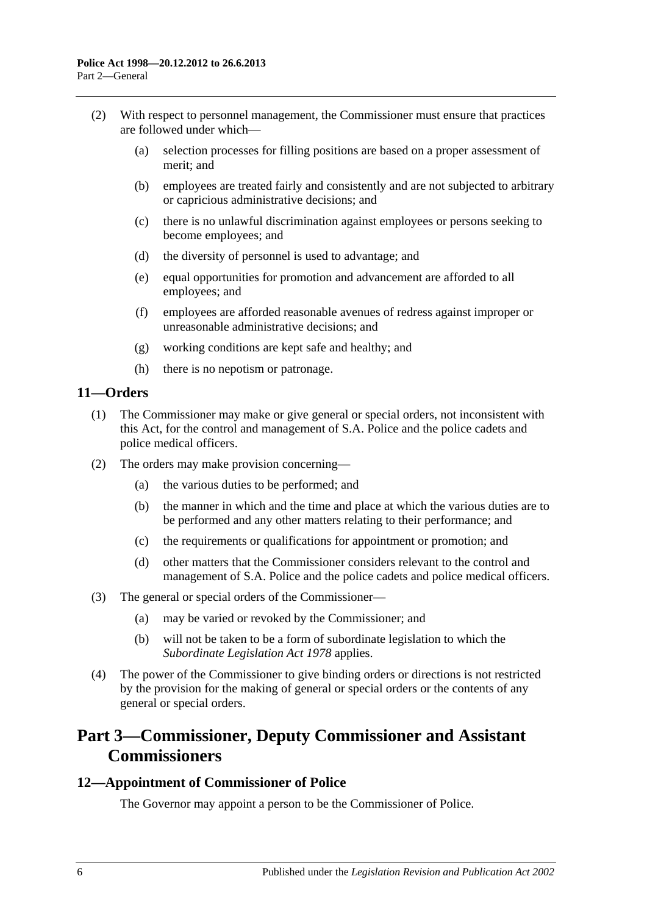- (2) With respect to personnel management, the Commissioner must ensure that practices are followed under which—
	- (a) selection processes for filling positions are based on a proper assessment of merit; and
	- (b) employees are treated fairly and consistently and are not subjected to arbitrary or capricious administrative decisions; and
	- (c) there is no unlawful discrimination against employees or persons seeking to become employees; and
	- (d) the diversity of personnel is used to advantage; and
	- (e) equal opportunities for promotion and advancement are afforded to all employees; and
	- (f) employees are afforded reasonable avenues of redress against improper or unreasonable administrative decisions; and
	- (g) working conditions are kept safe and healthy; and
	- (h) there is no nepotism or patronage.

## <span id="page-5-0"></span>**11—Orders**

- (1) The Commissioner may make or give general or special orders, not inconsistent with this Act, for the control and management of S.A. Police and the police cadets and police medical officers.
- (2) The orders may make provision concerning—
	- (a) the various duties to be performed; and
	- (b) the manner in which and the time and place at which the various duties are to be performed and any other matters relating to their performance; and
	- (c) the requirements or qualifications for appointment or promotion; and
	- (d) other matters that the Commissioner considers relevant to the control and management of S.A. Police and the police cadets and police medical officers.
- (3) The general or special orders of the Commissioner—
	- (a) may be varied or revoked by the Commissioner; and
	- (b) will not be taken to be a form of subordinate legislation to which the *[Subordinate Legislation Act](http://www.legislation.sa.gov.au/index.aspx?action=legref&type=act&legtitle=Subordinate%20Legislation%20Act%201978) 1978* applies.
- (4) The power of the Commissioner to give binding orders or directions is not restricted by the provision for the making of general or special orders or the contents of any general or special orders.

## <span id="page-5-1"></span>**Part 3—Commissioner, Deputy Commissioner and Assistant Commissioners**

#### <span id="page-5-2"></span>**12—Appointment of Commissioner of Police**

The Governor may appoint a person to be the Commissioner of Police.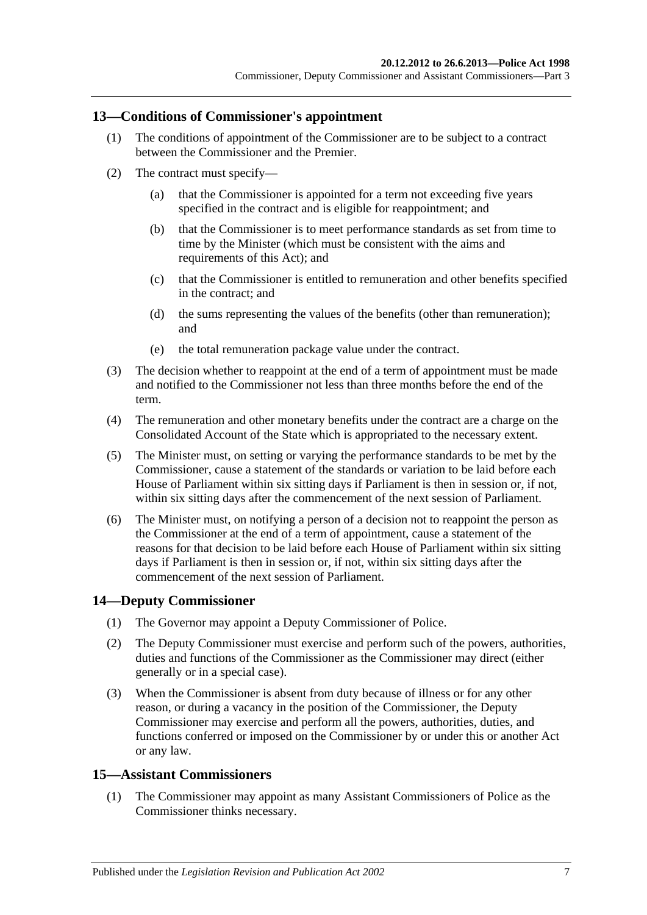#### <span id="page-6-0"></span>**13—Conditions of Commissioner's appointment**

- (1) The conditions of appointment of the Commissioner are to be subject to a contract between the Commissioner and the Premier.
- (2) The contract must specify—
	- (a) that the Commissioner is appointed for a term not exceeding five years specified in the contract and is eligible for reappointment; and
	- (b) that the Commissioner is to meet performance standards as set from time to time by the Minister (which must be consistent with the aims and requirements of this Act); and
	- (c) that the Commissioner is entitled to remuneration and other benefits specified in the contract; and
	- (d) the sums representing the values of the benefits (other than remuneration); and
	- (e) the total remuneration package value under the contract.
- (3) The decision whether to reappoint at the end of a term of appointment must be made and notified to the Commissioner not less than three months before the end of the term.
- (4) The remuneration and other monetary benefits under the contract are a charge on the Consolidated Account of the State which is appropriated to the necessary extent.
- (5) The Minister must, on setting or varying the performance standards to be met by the Commissioner, cause a statement of the standards or variation to be laid before each House of Parliament within six sitting days if Parliament is then in session or, if not, within six sitting days after the commencement of the next session of Parliament.
- (6) The Minister must, on notifying a person of a decision not to reappoint the person as the Commissioner at the end of a term of appointment, cause a statement of the reasons for that decision to be laid before each House of Parliament within six sitting days if Parliament is then in session or, if not, within six sitting days after the commencement of the next session of Parliament.

## <span id="page-6-1"></span>**14—Deputy Commissioner**

- (1) The Governor may appoint a Deputy Commissioner of Police.
- (2) The Deputy Commissioner must exercise and perform such of the powers, authorities, duties and functions of the Commissioner as the Commissioner may direct (either generally or in a special case).
- (3) When the Commissioner is absent from duty because of illness or for any other reason, or during a vacancy in the position of the Commissioner, the Deputy Commissioner may exercise and perform all the powers, authorities, duties, and functions conferred or imposed on the Commissioner by or under this or another Act or any law.

#### <span id="page-6-2"></span>**15—Assistant Commissioners**

(1) The Commissioner may appoint as many Assistant Commissioners of Police as the Commissioner thinks necessary.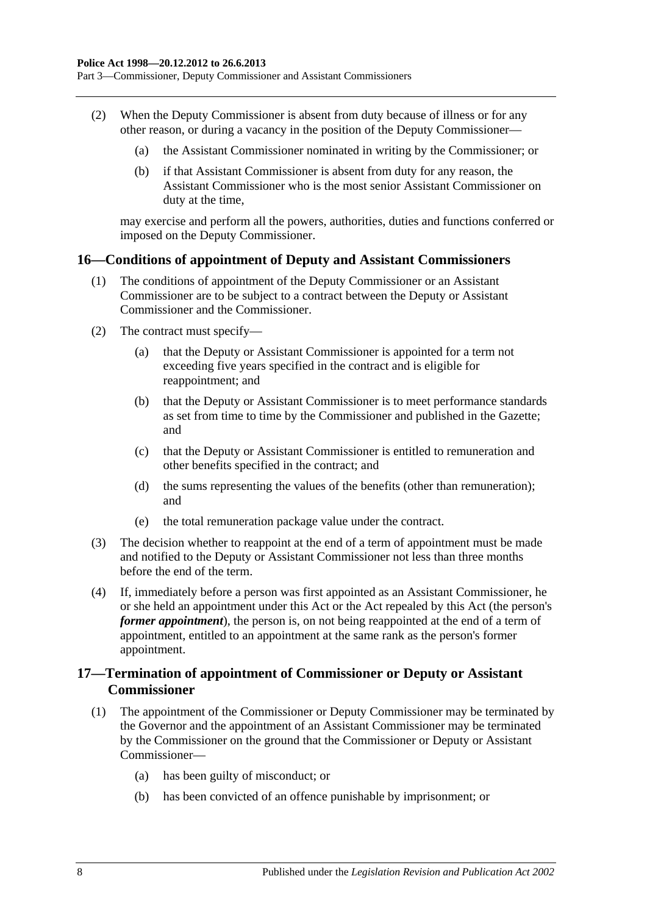Part 3—Commissioner, Deputy Commissioner and Assistant Commissioners

- (2) When the Deputy Commissioner is absent from duty because of illness or for any other reason, or during a vacancy in the position of the Deputy Commissioner—
	- (a) the Assistant Commissioner nominated in writing by the Commissioner; or
	- (b) if that Assistant Commissioner is absent from duty for any reason, the Assistant Commissioner who is the most senior Assistant Commissioner on duty at the time,

may exercise and perform all the powers, authorities, duties and functions conferred or imposed on the Deputy Commissioner.

#### <span id="page-7-0"></span>**16—Conditions of appointment of Deputy and Assistant Commissioners**

- (1) The conditions of appointment of the Deputy Commissioner or an Assistant Commissioner are to be subject to a contract between the Deputy or Assistant Commissioner and the Commissioner.
- (2) The contract must specify—
	- (a) that the Deputy or Assistant Commissioner is appointed for a term not exceeding five years specified in the contract and is eligible for reappointment; and
	- (b) that the Deputy or Assistant Commissioner is to meet performance standards as set from time to time by the Commissioner and published in the Gazette; and
	- (c) that the Deputy or Assistant Commissioner is entitled to remuneration and other benefits specified in the contract; and
	- (d) the sums representing the values of the benefits (other than remuneration); and
	- (e) the total remuneration package value under the contract.
- (3) The decision whether to reappoint at the end of a term of appointment must be made and notified to the Deputy or Assistant Commissioner not less than three months before the end of the term.
- (4) If, immediately before a person was first appointed as an Assistant Commissioner, he or she held an appointment under this Act or the Act repealed by this Act (the person's *former appointment*), the person is, on not being reappointed at the end of a term of appointment, entitled to an appointment at the same rank as the person's former appointment.

## <span id="page-7-1"></span>**17—Termination of appointment of Commissioner or Deputy or Assistant Commissioner**

- (1) The appointment of the Commissioner or Deputy Commissioner may be terminated by the Governor and the appointment of an Assistant Commissioner may be terminated by the Commissioner on the ground that the Commissioner or Deputy or Assistant Commissioner—
	- (a) has been guilty of misconduct; or
	- (b) has been convicted of an offence punishable by imprisonment; or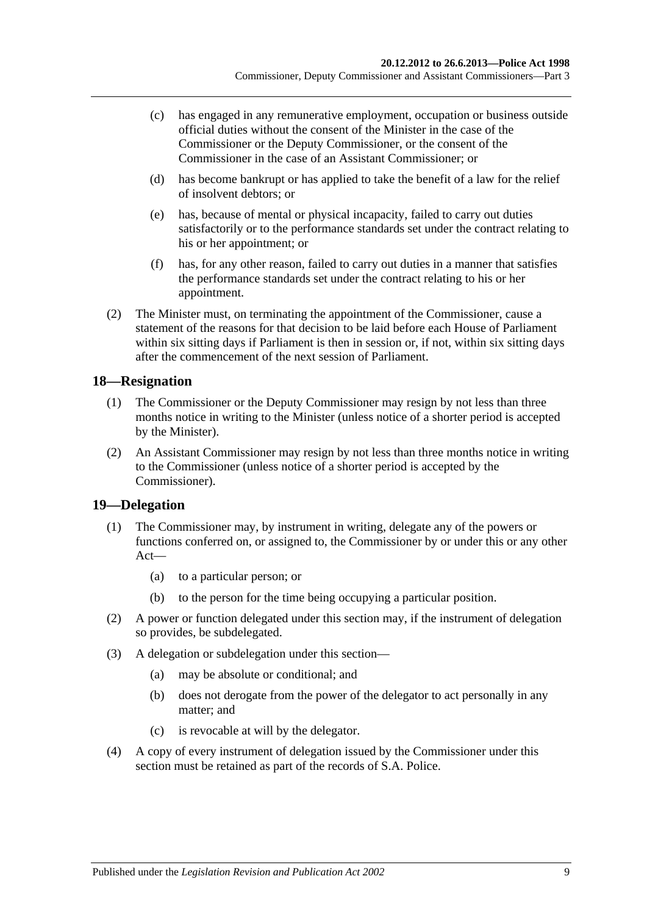- (c) has engaged in any remunerative employment, occupation or business outside official duties without the consent of the Minister in the case of the Commissioner or the Deputy Commissioner, or the consent of the Commissioner in the case of an Assistant Commissioner; or
- (d) has become bankrupt or has applied to take the benefit of a law for the relief of insolvent debtors; or
- (e) has, because of mental or physical incapacity, failed to carry out duties satisfactorily or to the performance standards set under the contract relating to his or her appointment; or
- (f) has, for any other reason, failed to carry out duties in a manner that satisfies the performance standards set under the contract relating to his or her appointment.
- (2) The Minister must, on terminating the appointment of the Commissioner, cause a statement of the reasons for that decision to be laid before each House of Parliament within six sitting days if Parliament is then in session or, if not, within six sitting days after the commencement of the next session of Parliament.

## <span id="page-8-0"></span>**18—Resignation**

- (1) The Commissioner or the Deputy Commissioner may resign by not less than three months notice in writing to the Minister (unless notice of a shorter period is accepted by the Minister).
- (2) An Assistant Commissioner may resign by not less than three months notice in writing to the Commissioner (unless notice of a shorter period is accepted by the Commissioner).

## <span id="page-8-1"></span>**19—Delegation**

- (1) The Commissioner may, by instrument in writing, delegate any of the powers or functions conferred on, or assigned to, the Commissioner by or under this or any other Act—
	- (a) to a particular person; or
	- (b) to the person for the time being occupying a particular position.
- (2) A power or function delegated under this section may, if the instrument of delegation so provides, be subdelegated.
- (3) A delegation or subdelegation under this section—
	- (a) may be absolute or conditional; and
	- (b) does not derogate from the power of the delegator to act personally in any matter; and
	- (c) is revocable at will by the delegator.
- (4) A copy of every instrument of delegation issued by the Commissioner under this section must be retained as part of the records of S.A. Police.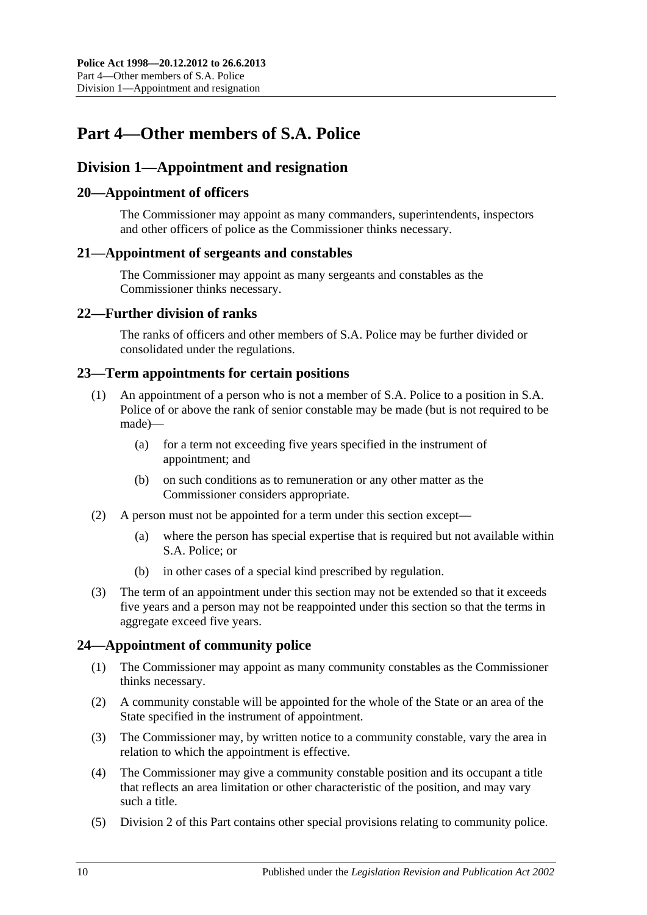# <span id="page-9-0"></span>**Part 4—Other members of S.A. Police**

## <span id="page-9-1"></span>**Division 1—Appointment and resignation**

## <span id="page-9-2"></span>**20—Appointment of officers**

The Commissioner may appoint as many commanders, superintendents, inspectors and other officers of police as the Commissioner thinks necessary.

#### <span id="page-9-3"></span>**21—Appointment of sergeants and constables**

The Commissioner may appoint as many sergeants and constables as the Commissioner thinks necessary.

## <span id="page-9-4"></span>**22—Further division of ranks**

The ranks of officers and other members of S.A. Police may be further divided or consolidated under the regulations.

#### <span id="page-9-5"></span>**23—Term appointments for certain positions**

- (1) An appointment of a person who is not a member of S.A. Police to a position in S.A. Police of or above the rank of senior constable may be made (but is not required to be made)—
	- (a) for a term not exceeding five years specified in the instrument of appointment; and
	- (b) on such conditions as to remuneration or any other matter as the Commissioner considers appropriate.
- (2) A person must not be appointed for a term under this section except—
	- (a) where the person has special expertise that is required but not available within S.A. Police; or
	- (b) in other cases of a special kind prescribed by regulation.
- (3) The term of an appointment under this section may not be extended so that it exceeds five years and a person may not be reappointed under this section so that the terms in aggregate exceed five years.

## <span id="page-9-6"></span>**24—Appointment of community police**

- (1) The Commissioner may appoint as many community constables as the Commissioner thinks necessary.
- (2) A community constable will be appointed for the whole of the State or an area of the State specified in the instrument of appointment.
- (3) The Commissioner may, by written notice to a community constable, vary the area in relation to which the appointment is effective.
- (4) The Commissioner may give a community constable position and its occupant a title that reflects an area limitation or other characteristic of the position, and may vary such a title.
- (5) [Division 2](#page-11-2) of this Part contains other special provisions relating to community police.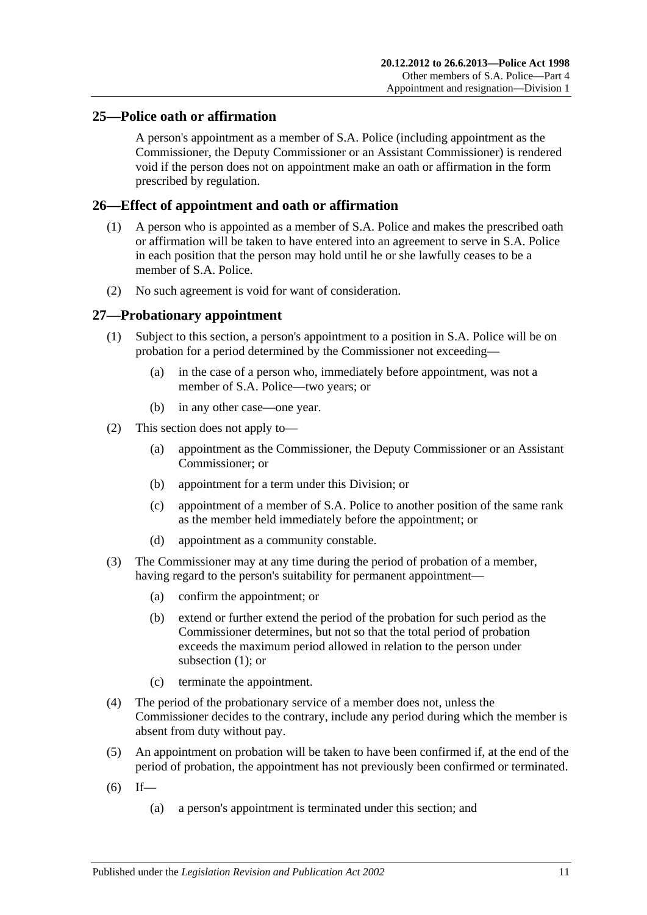## <span id="page-10-0"></span>**25—Police oath or affirmation**

A person's appointment as a member of S.A. Police (including appointment as the Commissioner, the Deputy Commissioner or an Assistant Commissioner) is rendered void if the person does not on appointment make an oath or affirmation in the form prescribed by regulation.

## <span id="page-10-1"></span>**26—Effect of appointment and oath or affirmation**

- (1) A person who is appointed as a member of S.A. Police and makes the prescribed oath or affirmation will be taken to have entered into an agreement to serve in S.A. Police in each position that the person may hold until he or she lawfully ceases to be a member of S.A. Police.
- (2) No such agreement is void for want of consideration.

#### <span id="page-10-3"></span><span id="page-10-2"></span>**27—Probationary appointment**

- (1) Subject to this section, a person's appointment to a position in S.A. Police will be on probation for a period determined by the Commissioner not exceeding—
	- (a) in the case of a person who, immediately before appointment, was not a member of S.A. Police—two years; or
	- (b) in any other case—one year.
- (2) This section does not apply to—
	- (a) appointment as the Commissioner, the Deputy Commissioner or an Assistant Commissioner; or
	- (b) appointment for a term under this Division; or
	- (c) appointment of a member of S.A. Police to another position of the same rank as the member held immediately before the appointment; or
	- (d) appointment as a community constable.
- (3) The Commissioner may at any time during the period of probation of a member, having regard to the person's suitability for permanent appointment—
	- (a) confirm the appointment; or
	- (b) extend or further extend the period of the probation for such period as the Commissioner determines, but not so that the total period of probation exceeds the maximum period allowed in relation to the person under [subsection](#page-10-3) (1); or
	- (c) terminate the appointment.
- (4) The period of the probationary service of a member does not, unless the Commissioner decides to the contrary, include any period during which the member is absent from duty without pay.
- (5) An appointment on probation will be taken to have been confirmed if, at the end of the period of probation, the appointment has not previously been confirmed or terminated.
- $(6)$  If—
	- (a) a person's appointment is terminated under this section; and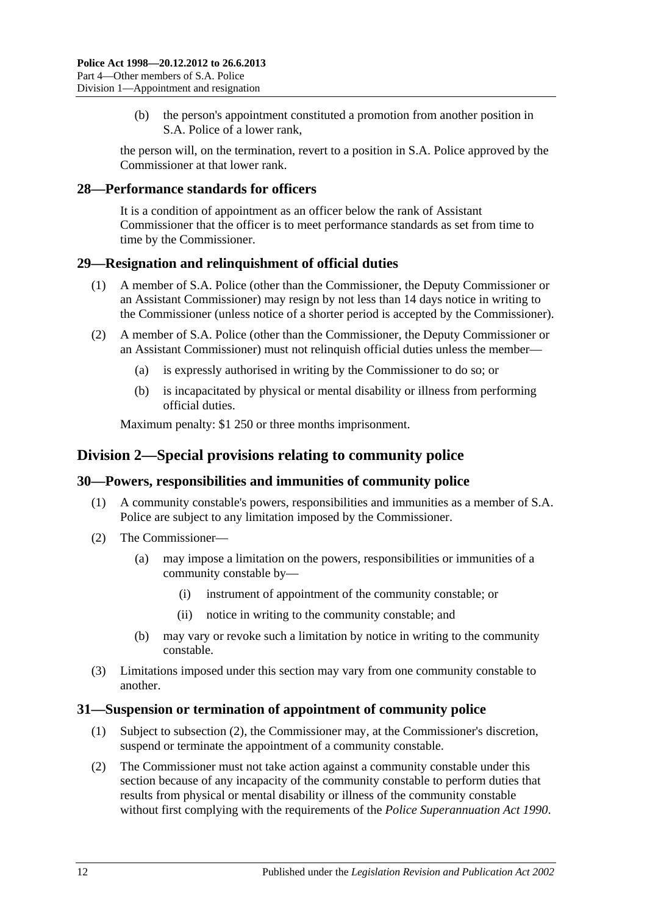(b) the person's appointment constituted a promotion from another position in S.A. Police of a lower rank,

the person will, on the termination, revert to a position in S.A. Police approved by the Commissioner at that lower rank.

## <span id="page-11-0"></span>**28—Performance standards for officers**

It is a condition of appointment as an officer below the rank of Assistant Commissioner that the officer is to meet performance standards as set from time to time by the Commissioner.

#### <span id="page-11-1"></span>**29—Resignation and relinquishment of official duties**

- (1) A member of S.A. Police (other than the Commissioner, the Deputy Commissioner or an Assistant Commissioner) may resign by not less than 14 days notice in writing to the Commissioner (unless notice of a shorter period is accepted by the Commissioner).
- (2) A member of S.A. Police (other than the Commissioner, the Deputy Commissioner or an Assistant Commissioner) must not relinquish official duties unless the member—
	- (a) is expressly authorised in writing by the Commissioner to do so; or
	- (b) is incapacitated by physical or mental disability or illness from performing official duties.

Maximum penalty: \$1 250 or three months imprisonment.

## <span id="page-11-2"></span>**Division 2—Special provisions relating to community police**

## <span id="page-11-3"></span>**30—Powers, responsibilities and immunities of community police**

- (1) A community constable's powers, responsibilities and immunities as a member of S.A. Police are subject to any limitation imposed by the Commissioner.
- (2) The Commissioner—
	- (a) may impose a limitation on the powers, responsibilities or immunities of a community constable by—
		- (i) instrument of appointment of the community constable; or
		- (ii) notice in writing to the community constable; and
	- (b) may vary or revoke such a limitation by notice in writing to the community constable.
- (3) Limitations imposed under this section may vary from one community constable to another.

## <span id="page-11-4"></span>**31—Suspension or termination of appointment of community police**

- (1) Subject to [subsection](#page-11-5) (2), the Commissioner may, at the Commissioner's discretion, suspend or terminate the appointment of a community constable.
- <span id="page-11-5"></span>(2) The Commissioner must not take action against a community constable under this section because of any incapacity of the community constable to perform duties that results from physical or mental disability or illness of the community constable without first complying with the requirements of the *[Police Superannuation Act](http://www.legislation.sa.gov.au/index.aspx?action=legref&type=act&legtitle=Police%20Superannuation%20Act%201990) 1990*.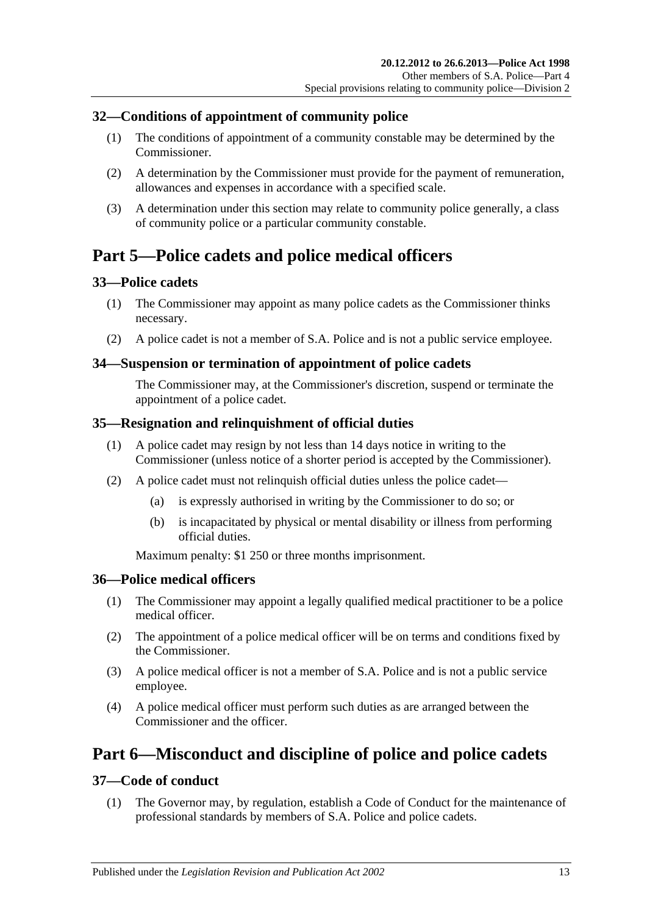## <span id="page-12-0"></span>**32—Conditions of appointment of community police**

- (1) The conditions of appointment of a community constable may be determined by the Commissioner.
- (2) A determination by the Commissioner must provide for the payment of remuneration, allowances and expenses in accordance with a specified scale.
- (3) A determination under this section may relate to community police generally, a class of community police or a particular community constable.

# <span id="page-12-1"></span>**Part 5—Police cadets and police medical officers**

## <span id="page-12-2"></span>**33—Police cadets**

- (1) The Commissioner may appoint as many police cadets as the Commissioner thinks necessary.
- (2) A police cadet is not a member of S.A. Police and is not a public service employee.

#### <span id="page-12-3"></span>**34—Suspension or termination of appointment of police cadets**

The Commissioner may, at the Commissioner's discretion, suspend or terminate the appointment of a police cadet.

## <span id="page-12-4"></span>**35—Resignation and relinquishment of official duties**

- (1) A police cadet may resign by not less than 14 days notice in writing to the Commissioner (unless notice of a shorter period is accepted by the Commissioner).
- (2) A police cadet must not relinquish official duties unless the police cadet—
	- (a) is expressly authorised in writing by the Commissioner to do so; or
	- (b) is incapacitated by physical or mental disability or illness from performing official duties.

Maximum penalty: \$1 250 or three months imprisonment.

## <span id="page-12-5"></span>**36—Police medical officers**

- (1) The Commissioner may appoint a legally qualified medical practitioner to be a police medical officer.
- (2) The appointment of a police medical officer will be on terms and conditions fixed by the Commissioner.
- (3) A police medical officer is not a member of S.A. Police and is not a public service employee.
- (4) A police medical officer must perform such duties as are arranged between the Commissioner and the officer.

# <span id="page-12-6"></span>**Part 6—Misconduct and discipline of police and police cadets**

## <span id="page-12-7"></span>**37—Code of conduct**

(1) The Governor may, by regulation, establish a Code of Conduct for the maintenance of professional standards by members of S.A. Police and police cadets.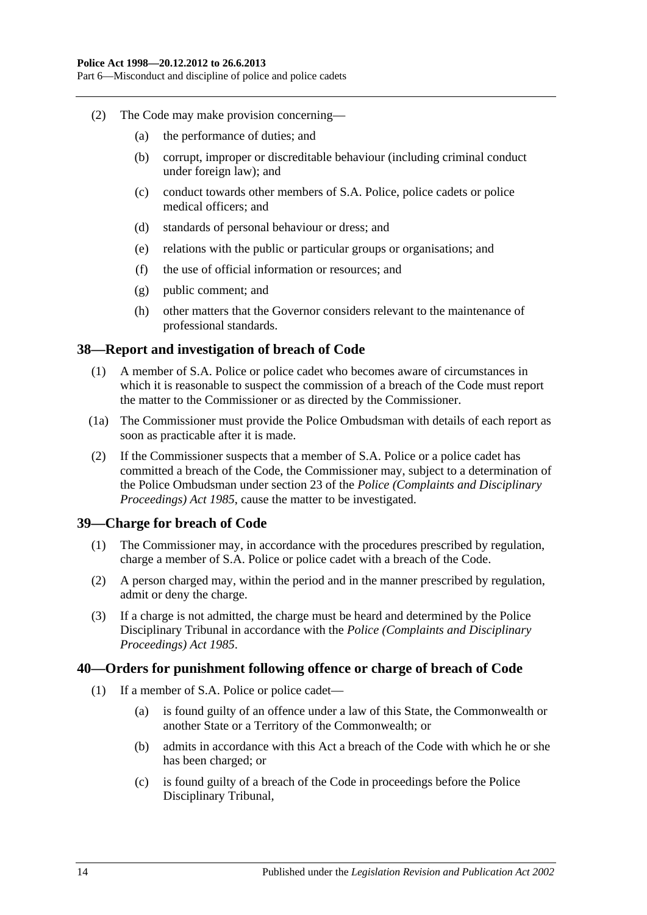Part 6—Misconduct and discipline of police and police cadets

- (2) The Code may make provision concerning—
	- (a) the performance of duties; and
	- (b) corrupt, improper or discreditable behaviour (including criminal conduct under foreign law); and
	- (c) conduct towards other members of S.A. Police, police cadets or police medical officers; and
	- (d) standards of personal behaviour or dress; and
	- (e) relations with the public or particular groups or organisations; and
	- (f) the use of official information or resources; and
	- (g) public comment; and
	- (h) other matters that the Governor considers relevant to the maintenance of professional standards.

#### <span id="page-13-0"></span>**38—Report and investigation of breach of Code**

- (1) A member of S.A. Police or police cadet who becomes aware of circumstances in which it is reasonable to suspect the commission of a breach of the Code must report the matter to the Commissioner or as directed by the Commissioner.
- (1a) The Commissioner must provide the Police Ombudsman with details of each report as soon as practicable after it is made.
- (2) If the Commissioner suspects that a member of S.A. Police or a police cadet has committed a breach of the Code, the Commissioner may, subject to a determination of the Police Ombudsman under section 23 of the *[Police \(Complaints and Disciplinary](http://www.legislation.sa.gov.au/index.aspx?action=legref&type=act&legtitle=Police%20(Complaints%20and%20Disciplinary%20Proceedings)%20Act%201985)  [Proceedings\) Act](http://www.legislation.sa.gov.au/index.aspx?action=legref&type=act&legtitle=Police%20(Complaints%20and%20Disciplinary%20Proceedings)%20Act%201985) 1985*, cause the matter to be investigated.

#### <span id="page-13-1"></span>**39—Charge for breach of Code**

- (1) The Commissioner may, in accordance with the procedures prescribed by regulation, charge a member of S.A. Police or police cadet with a breach of the Code.
- (2) A person charged may, within the period and in the manner prescribed by regulation, admit or deny the charge.
- (3) If a charge is not admitted, the charge must be heard and determined by the Police Disciplinary Tribunal in accordance with the *[Police \(Complaints and Disciplinary](http://www.legislation.sa.gov.au/index.aspx?action=legref&type=act&legtitle=Police%20(Complaints%20and%20Disciplinary%20Proceedings)%20Act%201985)  [Proceedings\) Act](http://www.legislation.sa.gov.au/index.aspx?action=legref&type=act&legtitle=Police%20(Complaints%20and%20Disciplinary%20Proceedings)%20Act%201985) 1985*.

#### <span id="page-13-2"></span>**40—Orders for punishment following offence or charge of breach of Code**

- (1) If a member of S.A. Police or police cadet—
	- (a) is found guilty of an offence under a law of this State, the Commonwealth or another State or a Territory of the Commonwealth; or
	- (b) admits in accordance with this Act a breach of the Code with which he or she has been charged; or
	- (c) is found guilty of a breach of the Code in proceedings before the Police Disciplinary Tribunal,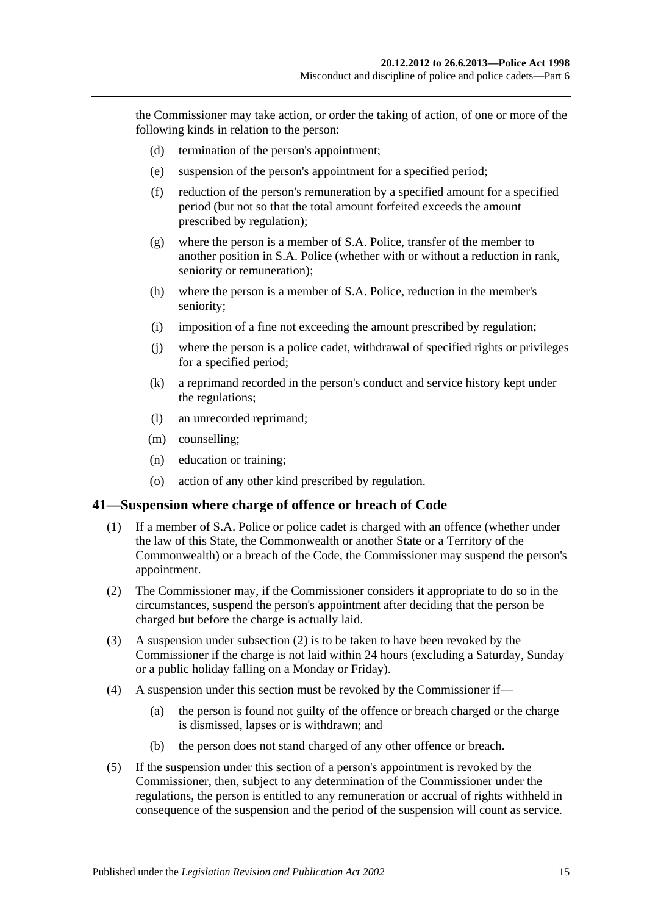the Commissioner may take action, or order the taking of action, of one or more of the following kinds in relation to the person:

- (d) termination of the person's appointment;
- (e) suspension of the person's appointment for a specified period;
- (f) reduction of the person's remuneration by a specified amount for a specified period (but not so that the total amount forfeited exceeds the amount prescribed by regulation);
- (g) where the person is a member of S.A. Police, transfer of the member to another position in S.A. Police (whether with or without a reduction in rank, seniority or remuneration);
- (h) where the person is a member of S.A. Police, reduction in the member's seniority;
- (i) imposition of a fine not exceeding the amount prescribed by regulation;
- (j) where the person is a police cadet, withdrawal of specified rights or privileges for a specified period;
- (k) a reprimand recorded in the person's conduct and service history kept under the regulations;
- (l) an unrecorded reprimand;
- (m) counselling;
- (n) education or training;
- (o) action of any other kind prescribed by regulation.

#### <span id="page-14-0"></span>**41—Suspension where charge of offence or breach of Code**

- (1) If a member of S.A. Police or police cadet is charged with an offence (whether under the law of this State, the Commonwealth or another State or a Territory of the Commonwealth) or a breach of the Code, the Commissioner may suspend the person's appointment.
- <span id="page-14-1"></span>(2) The Commissioner may, if the Commissioner considers it appropriate to do so in the circumstances, suspend the person's appointment after deciding that the person be charged but before the charge is actually laid.
- (3) A suspension under [subsection](#page-14-1) (2) is to be taken to have been revoked by the Commissioner if the charge is not laid within 24 hours (excluding a Saturday, Sunday or a public holiday falling on a Monday or Friday).
- (4) A suspension under this section must be revoked by the Commissioner if—
	- (a) the person is found not guilty of the offence or breach charged or the charge is dismissed, lapses or is withdrawn; and
	- (b) the person does not stand charged of any other offence or breach.
- (5) If the suspension under this section of a person's appointment is revoked by the Commissioner, then, subject to any determination of the Commissioner under the regulations, the person is entitled to any remuneration or accrual of rights withheld in consequence of the suspension and the period of the suspension will count as service.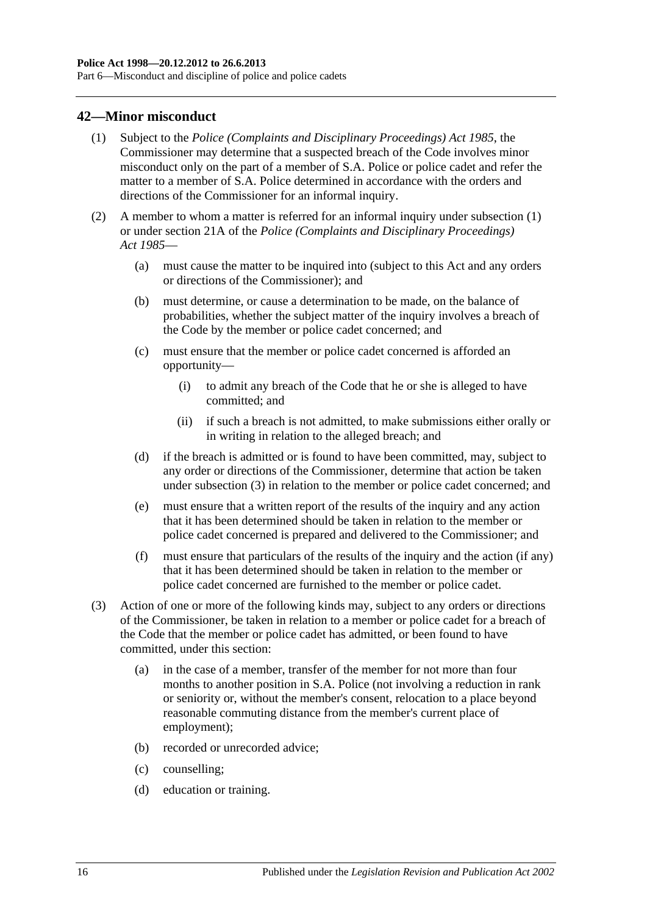Part 6—Misconduct and discipline of police and police cadets

#### <span id="page-15-1"></span><span id="page-15-0"></span>**42—Minor misconduct**

- (1) Subject to the *[Police \(Complaints and Disciplinary Proceedings\) Act](http://www.legislation.sa.gov.au/index.aspx?action=legref&type=act&legtitle=Police%20(Complaints%20and%20Disciplinary%20Proceedings)%20Act%201985) 1985*, the Commissioner may determine that a suspected breach of the Code involves minor misconduct only on the part of a member of S.A. Police or police cadet and refer the matter to a member of S.A. Police determined in accordance with the orders and directions of the Commissioner for an informal inquiry.
- (2) A member to whom a matter is referred for an informal inquiry under [subsection](#page-15-1) (1) or under section 21A of the *[Police \(Complaints and Disciplinary Proceedings\)](http://www.legislation.sa.gov.au/index.aspx?action=legref&type=act&legtitle=Police%20(Complaints%20and%20Disciplinary%20Proceedings)%20Act%201985)  Act [1985](http://www.legislation.sa.gov.au/index.aspx?action=legref&type=act&legtitle=Police%20(Complaints%20and%20Disciplinary%20Proceedings)%20Act%201985)*—
	- (a) must cause the matter to be inquired into (subject to this Act and any orders or directions of the Commissioner); and
	- (b) must determine, or cause a determination to be made, on the balance of probabilities, whether the subject matter of the inquiry involves a breach of the Code by the member or police cadet concerned; and
	- (c) must ensure that the member or police cadet concerned is afforded an opportunity—
		- (i) to admit any breach of the Code that he or she is alleged to have committed; and
		- (ii) if such a breach is not admitted, to make submissions either orally or in writing in relation to the alleged breach; and
	- (d) if the breach is admitted or is found to have been committed, may, subject to any order or directions of the Commissioner, determine that action be taken under [subsection](#page-15-2) (3) in relation to the member or police cadet concerned; and
	- (e) must ensure that a written report of the results of the inquiry and any action that it has been determined should be taken in relation to the member or police cadet concerned is prepared and delivered to the Commissioner; and
	- (f) must ensure that particulars of the results of the inquiry and the action (if any) that it has been determined should be taken in relation to the member or police cadet concerned are furnished to the member or police cadet.
- <span id="page-15-2"></span>(3) Action of one or more of the following kinds may, subject to any orders or directions of the Commissioner, be taken in relation to a member or police cadet for a breach of the Code that the member or police cadet has admitted, or been found to have committed, under this section:
	- (a) in the case of a member, transfer of the member for not more than four months to another position in S.A. Police (not involving a reduction in rank or seniority or, without the member's consent, relocation to a place beyond reasonable commuting distance from the member's current place of employment);
	- (b) recorded or unrecorded advice;
	- (c) counselling;
	- (d) education or training.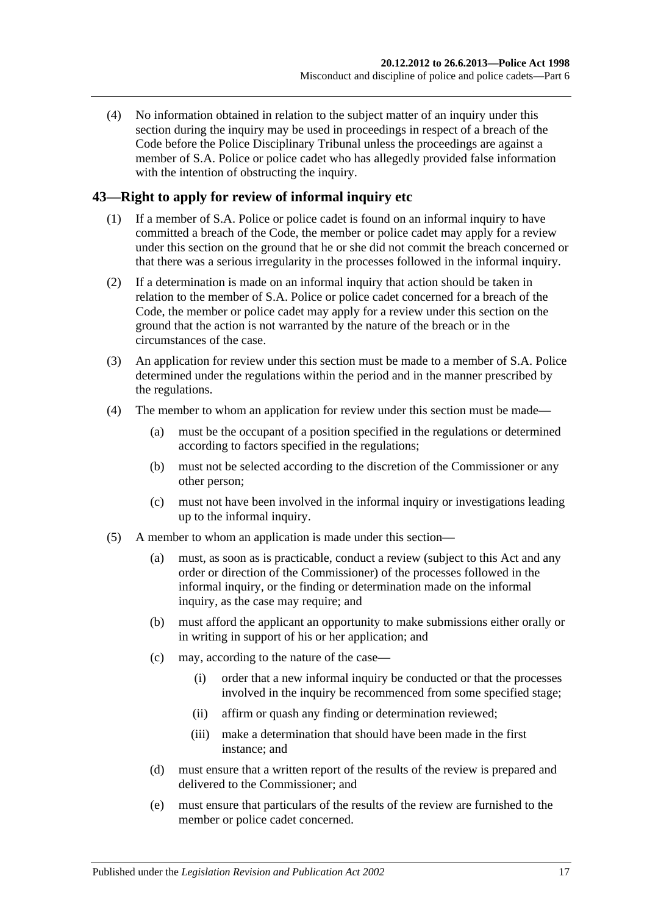(4) No information obtained in relation to the subject matter of an inquiry under this section during the inquiry may be used in proceedings in respect of a breach of the Code before the Police Disciplinary Tribunal unless the proceedings are against a member of S.A. Police or police cadet who has allegedly provided false information with the intention of obstructing the inquiry.

## <span id="page-16-0"></span>**43—Right to apply for review of informal inquiry etc**

- (1) If a member of S.A. Police or police cadet is found on an informal inquiry to have committed a breach of the Code, the member or police cadet may apply for a review under this section on the ground that he or she did not commit the breach concerned or that there was a serious irregularity in the processes followed in the informal inquiry.
- (2) If a determination is made on an informal inquiry that action should be taken in relation to the member of S.A. Police or police cadet concerned for a breach of the Code, the member or police cadet may apply for a review under this section on the ground that the action is not warranted by the nature of the breach or in the circumstances of the case.
- (3) An application for review under this section must be made to a member of S.A. Police determined under the regulations within the period and in the manner prescribed by the regulations.
- (4) The member to whom an application for review under this section must be made—
	- (a) must be the occupant of a position specified in the regulations or determined according to factors specified in the regulations;
	- (b) must not be selected according to the discretion of the Commissioner or any other person;
	- (c) must not have been involved in the informal inquiry or investigations leading up to the informal inquiry.
- (5) A member to whom an application is made under this section—
	- (a) must, as soon as is practicable, conduct a review (subject to this Act and any order or direction of the Commissioner) of the processes followed in the informal inquiry, or the finding or determination made on the informal inquiry, as the case may require; and
	- (b) must afford the applicant an opportunity to make submissions either orally or in writing in support of his or her application; and
	- (c) may, according to the nature of the case—
		- (i) order that a new informal inquiry be conducted or that the processes involved in the inquiry be recommenced from some specified stage;
		- (ii) affirm or quash any finding or determination reviewed;
		- (iii) make a determination that should have been made in the first instance; and
	- (d) must ensure that a written report of the results of the review is prepared and delivered to the Commissioner; and
	- (e) must ensure that particulars of the results of the review are furnished to the member or police cadet concerned.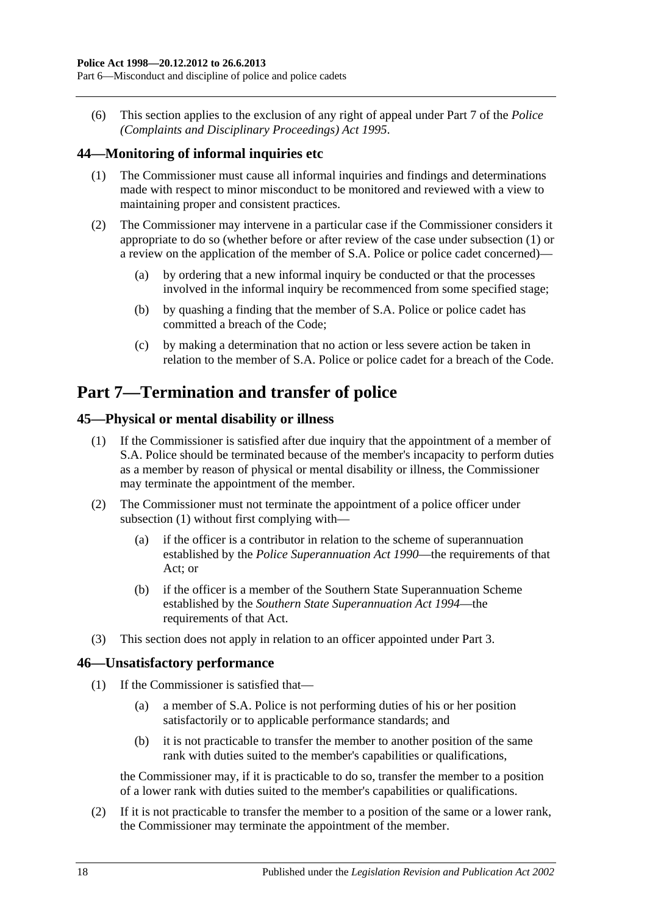(6) This section applies to the exclusion of any right of appeal under Part 7 of the *[Police](http://www.legislation.sa.gov.au/index.aspx?action=legref&type=act&legtitle=Police%20(Complaints%20and%20Disciplinary%20Proceedings)%20Act%201995)  [\(Complaints and Disciplinary Proceedings\) Act](http://www.legislation.sa.gov.au/index.aspx?action=legref&type=act&legtitle=Police%20(Complaints%20and%20Disciplinary%20Proceedings)%20Act%201995) 1995*.

## <span id="page-17-4"></span><span id="page-17-0"></span>**44—Monitoring of informal inquiries etc**

- (1) The Commissioner must cause all informal inquiries and findings and determinations made with respect to minor misconduct to be monitored and reviewed with a view to maintaining proper and consistent practices.
- (2) The Commissioner may intervene in a particular case if the Commissioner considers it appropriate to do so (whether before or after review of the case under [subsection](#page-17-4) (1) or a review on the application of the member of S.A. Police or police cadet concerned)—
	- (a) by ordering that a new informal inquiry be conducted or that the processes involved in the informal inquiry be recommenced from some specified stage;
	- (b) by quashing a finding that the member of S.A. Police or police cadet has committed a breach of the Code;
	- (c) by making a determination that no action or less severe action be taken in relation to the member of S.A. Police or police cadet for a breach of the Code.

# <span id="page-17-1"></span>**Part 7—Termination and transfer of police**

## <span id="page-17-5"></span><span id="page-17-2"></span>**45—Physical or mental disability or illness**

- (1) If the Commissioner is satisfied after due inquiry that the appointment of a member of S.A. Police should be terminated because of the member's incapacity to perform duties as a member by reason of physical or mental disability or illness, the Commissioner may terminate the appointment of the member.
- (2) The Commissioner must not terminate the appointment of a police officer under [subsection](#page-17-5) (1) without first complying with—
	- (a) if the officer is a contributor in relation to the scheme of superannuation established by the *Police [Superannuation Act](http://www.legislation.sa.gov.au/index.aspx?action=legref&type=act&legtitle=Police%20Superannuation%20Act%201990) 1990*—the requirements of that Act; or
	- (b) if the officer is a member of the Southern State Superannuation Scheme established by the *[Southern State Superannuation Act](http://www.legislation.sa.gov.au/index.aspx?action=legref&type=act&legtitle=Southern%20State%20Superannuation%20Act%201994) 1994*—the requirements of that Act.
- (3) This section does not apply in relation to an officer appointed under [Part 3.](#page-5-1)

## <span id="page-17-3"></span>**46—Unsatisfactory performance**

- (1) If the Commissioner is satisfied that—
	- (a) a member of S.A. Police is not performing duties of his or her position satisfactorily or to applicable performance standards; and
	- (b) it is not practicable to transfer the member to another position of the same rank with duties suited to the member's capabilities or qualifications,

the Commissioner may, if it is practicable to do so, transfer the member to a position of a lower rank with duties suited to the member's capabilities or qualifications.

(2) If it is not practicable to transfer the member to a position of the same or a lower rank, the Commissioner may terminate the appointment of the member.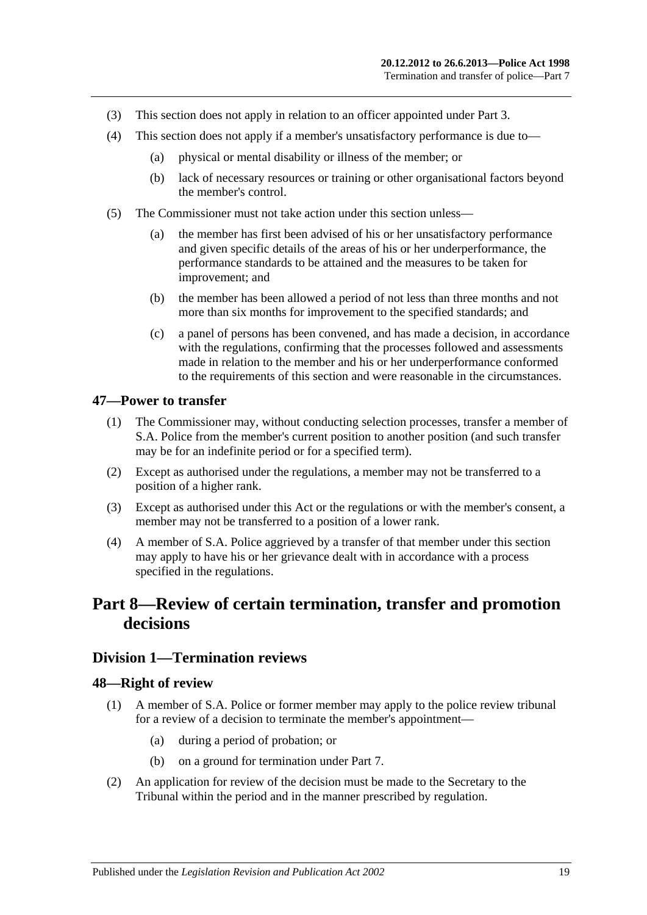- (3) This section does not apply in relation to an officer appointed under [Part 3.](#page-5-1)
- (4) This section does not apply if a member's unsatisfactory performance is due to—
	- (a) physical or mental disability or illness of the member; or
	- (b) lack of necessary resources or training or other organisational factors beyond the member's control.
- (5) The Commissioner must not take action under this section unless—
	- (a) the member has first been advised of his or her unsatisfactory performance and given specific details of the areas of his or her underperformance, the performance standards to be attained and the measures to be taken for improvement; and
	- (b) the member has been allowed a period of not less than three months and not more than six months for improvement to the specified standards; and
	- (c) a panel of persons has been convened, and has made a decision, in accordance with the regulations, confirming that the processes followed and assessments made in relation to the member and his or her underperformance conformed to the requirements of this section and were reasonable in the circumstances.

#### <span id="page-18-0"></span>**47—Power to transfer**

- (1) The Commissioner may, without conducting selection processes, transfer a member of S.A. Police from the member's current position to another position (and such transfer may be for an indefinite period or for a specified term).
- (2) Except as authorised under the regulations, a member may not be transferred to a position of a higher rank.
- (3) Except as authorised under this Act or the regulations or with the member's consent, a member may not be transferred to a position of a lower rank.
- (4) A member of S.A. Police aggrieved by a transfer of that member under this section may apply to have his or her grievance dealt with in accordance with a process specified in the regulations.

# <span id="page-18-1"></span>**Part 8—Review of certain termination, transfer and promotion decisions**

#### <span id="page-18-2"></span>**Division 1—Termination reviews**

#### <span id="page-18-3"></span>**48—Right of review**

- (1) A member of S.A. Police or former member may apply to the police review tribunal for a review of a decision to terminate the member's appointment—
	- (a) during a period of probation; or
	- (b) on a ground for termination under [Part 7.](#page-17-1)
- (2) An application for review of the decision must be made to the Secretary to the Tribunal within the period and in the manner prescribed by regulation.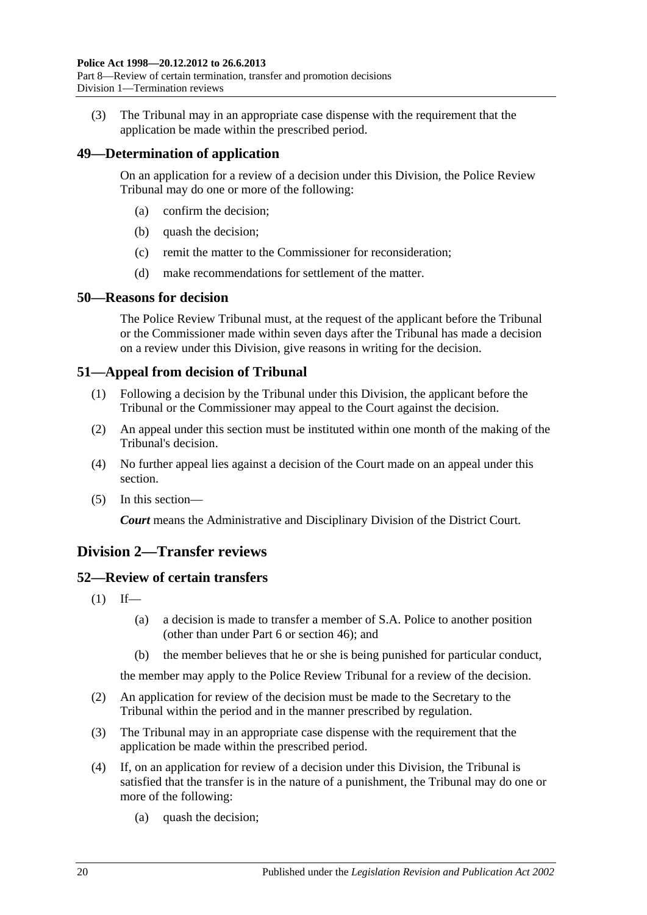(3) The Tribunal may in an appropriate case dispense with the requirement that the application be made within the prescribed period.

## <span id="page-19-0"></span>**49—Determination of application**

On an application for a review of a decision under this Division, the Police Review Tribunal may do one or more of the following:

- (a) confirm the decision;
- (b) quash the decision;
- (c) remit the matter to the Commissioner for reconsideration;
- (d) make recommendations for settlement of the matter.

#### <span id="page-19-1"></span>**50—Reasons for decision**

The Police Review Tribunal must, at the request of the applicant before the Tribunal or the Commissioner made within seven days after the Tribunal has made a decision on a review under this Division, give reasons in writing for the decision.

## <span id="page-19-2"></span>**51—Appeal from decision of Tribunal**

- (1) Following a decision by the Tribunal under this Division, the applicant before the Tribunal or the Commissioner may appeal to the Court against the decision.
- (2) An appeal under this section must be instituted within one month of the making of the Tribunal's decision.
- (4) No further appeal lies against a decision of the Court made on an appeal under this section.
- (5) In this section—

*Court* means the Administrative and Disciplinary Division of the District Court.

## <span id="page-19-3"></span>**Division 2—Transfer reviews**

## <span id="page-19-4"></span>**52—Review of certain transfers**

- $(1)$  If—
	- (a) a decision is made to transfer a member of S.A. Police to another position (other than under [Part 6](#page-12-6) or [section](#page-17-3) 46); and
	- (b) the member believes that he or she is being punished for particular conduct,

the member may apply to the Police Review Tribunal for a review of the decision.

- (2) An application for review of the decision must be made to the Secretary to the Tribunal within the period and in the manner prescribed by regulation.
- (3) The Tribunal may in an appropriate case dispense with the requirement that the application be made within the prescribed period.
- (4) If, on an application for review of a decision under this Division, the Tribunal is satisfied that the transfer is in the nature of a punishment, the Tribunal may do one or more of the following:
	- (a) quash the decision;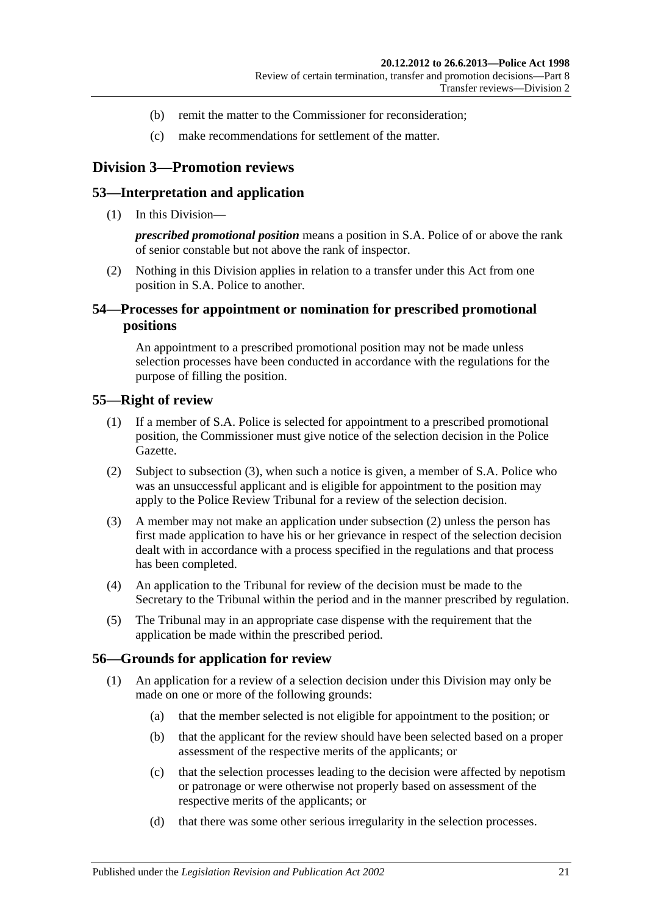- (b) remit the matter to the Commissioner for reconsideration;
- (c) make recommendations for settlement of the matter.

## <span id="page-20-0"></span>**Division 3—Promotion reviews**

#### <span id="page-20-1"></span>**53—Interpretation and application**

(1) In this Division—

*prescribed promotional position* means a position in S.A. Police of or above the rank of senior constable but not above the rank of inspector.

(2) Nothing in this Division applies in relation to a transfer under this Act from one position in S.A. Police to another.

## <span id="page-20-2"></span>**54—Processes for appointment or nomination for prescribed promotional positions**

An appointment to a prescribed promotional position may not be made unless selection processes have been conducted in accordance with the regulations for the purpose of filling the position.

#### <span id="page-20-3"></span>**55—Right of review**

- (1) If a member of S.A. Police is selected for appointment to a prescribed promotional position, the Commissioner must give notice of the selection decision in the Police Gazette.
- <span id="page-20-6"></span>(2) Subject to [subsection](#page-20-5) (3), when such a notice is given, a member of S.A. Police who was an unsuccessful applicant and is eligible for appointment to the position may apply to the Police Review Tribunal for a review of the selection decision.
- <span id="page-20-5"></span>(3) A member may not make an application under [subsection](#page-20-6) (2) unless the person has first made application to have his or her grievance in respect of the selection decision dealt with in accordance with a process specified in the regulations and that process has been completed.
- (4) An application to the Tribunal for review of the decision must be made to the Secretary to the Tribunal within the period and in the manner prescribed by regulation.
- (5) The Tribunal may in an appropriate case dispense with the requirement that the application be made within the prescribed period.

#### <span id="page-20-4"></span>**56—Grounds for application for review**

- (1) An application for a review of a selection decision under this Division may only be made on one or more of the following grounds:
	- (a) that the member selected is not eligible for appointment to the position; or
	- (b) that the applicant for the review should have been selected based on a proper assessment of the respective merits of the applicants; or
	- (c) that the selection processes leading to the decision were affected by nepotism or patronage or were otherwise not properly based on assessment of the respective merits of the applicants; or
	- (d) that there was some other serious irregularity in the selection processes.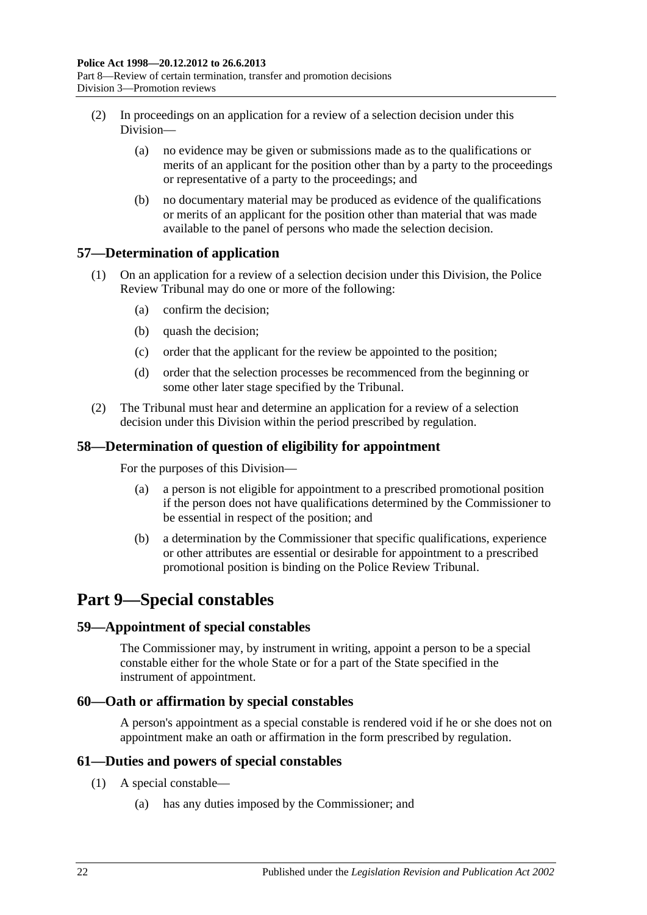- (2) In proceedings on an application for a review of a selection decision under this Division—
	- (a) no evidence may be given or submissions made as to the qualifications or merits of an applicant for the position other than by a party to the proceedings or representative of a party to the proceedings; and
	- (b) no documentary material may be produced as evidence of the qualifications or merits of an applicant for the position other than material that was made available to the panel of persons who made the selection decision.

## <span id="page-21-0"></span>**57—Determination of application**

- (1) On an application for a review of a selection decision under this Division, the Police Review Tribunal may do one or more of the following:
	- (a) confirm the decision;
	- (b) quash the decision;
	- (c) order that the applicant for the review be appointed to the position;
	- (d) order that the selection processes be recommenced from the beginning or some other later stage specified by the Tribunal.
- (2) The Tribunal must hear and determine an application for a review of a selection decision under this Division within the period prescribed by regulation.

## <span id="page-21-1"></span>**58—Determination of question of eligibility for appointment**

For the purposes of this Division—

- (a) a person is not eligible for appointment to a prescribed promotional position if the person does not have qualifications determined by the Commissioner to be essential in respect of the position; and
- (b) a determination by the Commissioner that specific qualifications, experience or other attributes are essential or desirable for appointment to a prescribed promotional position is binding on the Police Review Tribunal.

## <span id="page-21-2"></span>**Part 9—Special constables**

## <span id="page-21-3"></span>**59—Appointment of special constables**

The Commissioner may, by instrument in writing, appoint a person to be a special constable either for the whole State or for a part of the State specified in the instrument of appointment.

## <span id="page-21-4"></span>**60—Oath or affirmation by special constables**

A person's appointment as a special constable is rendered void if he or she does not on appointment make an oath or affirmation in the form prescribed by regulation.

## <span id="page-21-5"></span>**61—Duties and powers of special constables**

- (1) A special constable—
	- (a) has any duties imposed by the Commissioner; and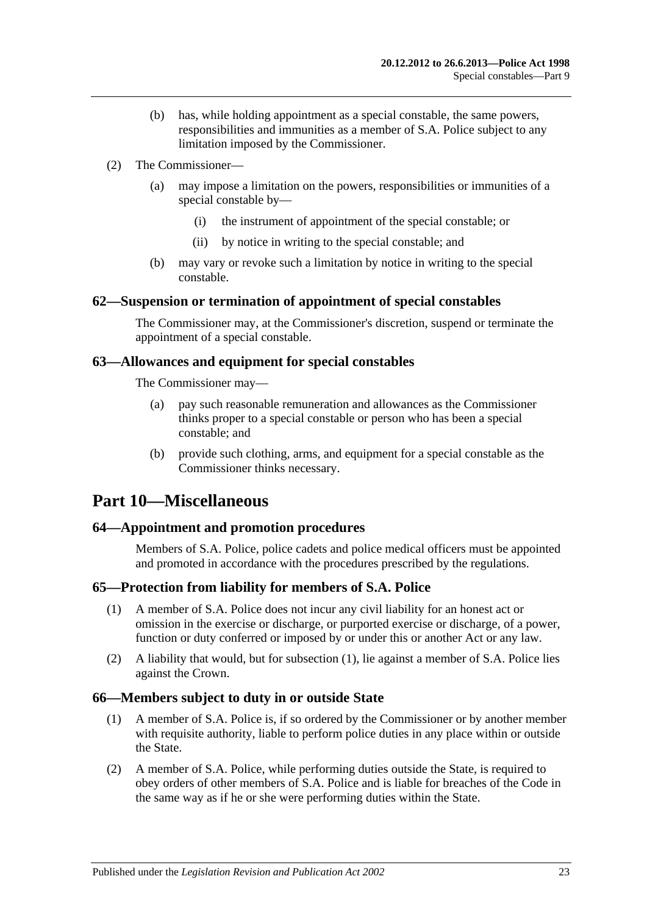- (b) has, while holding appointment as a special constable, the same powers, responsibilities and immunities as a member of S.A. Police subject to any limitation imposed by the Commissioner.
- (2) The Commissioner—
	- (a) may impose a limitation on the powers, responsibilities or immunities of a special constable by—
		- (i) the instrument of appointment of the special constable; or
		- (ii) by notice in writing to the special constable; and
	- (b) may vary or revoke such a limitation by notice in writing to the special constable.

## <span id="page-22-0"></span>**62—Suspension or termination of appointment of special constables**

The Commissioner may, at the Commissioner's discretion, suspend or terminate the appointment of a special constable.

#### <span id="page-22-1"></span>**63—Allowances and equipment for special constables**

The Commissioner may—

- (a) pay such reasonable remuneration and allowances as the Commissioner thinks proper to a special constable or person who has been a special constable; and
- (b) provide such clothing, arms, and equipment for a special constable as the Commissioner thinks necessary.

## <span id="page-22-2"></span>**Part 10—Miscellaneous**

## <span id="page-22-3"></span>**64—Appointment and promotion procedures**

Members of S.A. Police, police cadets and police medical officers must be appointed and promoted in accordance with the procedures prescribed by the regulations.

## <span id="page-22-6"></span><span id="page-22-4"></span>**65—Protection from liability for members of S.A. Police**

- (1) A member of S.A. Police does not incur any civil liability for an honest act or omission in the exercise or discharge, or purported exercise or discharge, of a power, function or duty conferred or imposed by or under this or another Act or any law.
- (2) A liability that would, but for [subsection](#page-22-6) (1), lie against a member of S.A. Police lies against the Crown.

## <span id="page-22-5"></span>**66—Members subject to duty in or outside State**

- (1) A member of S.A. Police is, if so ordered by the Commissioner or by another member with requisite authority, liable to perform police duties in any place within or outside the State.
- (2) A member of S.A. Police, while performing duties outside the State, is required to obey orders of other members of S.A. Police and is liable for breaches of the Code in the same way as if he or she were performing duties within the State.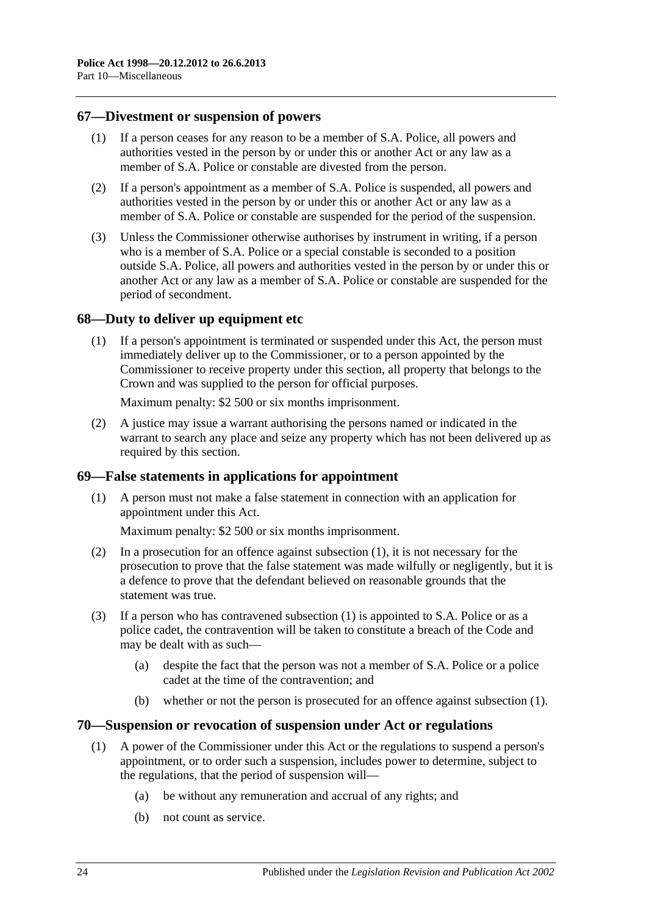#### <span id="page-23-0"></span>**67—Divestment or suspension of powers**

- (1) If a person ceases for any reason to be a member of S.A. Police, all powers and authorities vested in the person by or under this or another Act or any law as a member of S.A. Police or constable are divested from the person.
- (2) If a person's appointment as a member of S.A. Police is suspended, all powers and authorities vested in the person by or under this or another Act or any law as a member of S.A. Police or constable are suspended for the period of the suspension.
- (3) Unless the Commissioner otherwise authorises by instrument in writing, if a person who is a member of S.A. Police or a special constable is seconded to a position outside S.A. Police, all powers and authorities vested in the person by or under this or another Act or any law as a member of S.A. Police or constable are suspended for the period of secondment.

## <span id="page-23-1"></span>**68—Duty to deliver up equipment etc**

(1) If a person's appointment is terminated or suspended under this Act, the person must immediately deliver up to the Commissioner, or to a person appointed by the Commissioner to receive property under this section, all property that belongs to the Crown and was supplied to the person for official purposes.

Maximum penalty: \$2 500 or six months imprisonment.

(2) A justice may issue a warrant authorising the persons named or indicated in the warrant to search any place and seize any property which has not been delivered up as required by this section.

## <span id="page-23-4"></span><span id="page-23-2"></span>**69—False statements in applications for appointment**

(1) A person must not make a false statement in connection with an application for appointment under this Act.

Maximum penalty: \$2 500 or six months imprisonment.

- (2) In a prosecution for an offence against [subsection](#page-23-4) (1), it is not necessary for the prosecution to prove that the false statement was made wilfully or negligently, but it is a defence to prove that the defendant believed on reasonable grounds that the statement was true.
- (3) If a person who has contravened [subsection](#page-23-4) (1) is appointed to S.A. Police or as a police cadet, the contravention will be taken to constitute a breach of the Code and may be dealt with as such—
	- (a) despite the fact that the person was not a member of S.A. Police or a police cadet at the time of the contravention; and
	- (b) whether or not the person is prosecuted for an offence against [subsection](#page-23-4) (1).

#### <span id="page-23-5"></span><span id="page-23-3"></span>**70—Suspension or revocation of suspension under Act or regulations**

- (1) A power of the Commissioner under this Act or the regulations to suspend a person's appointment, or to order such a suspension, includes power to determine, subject to the regulations, that the period of suspension will—
	- (a) be without any remuneration and accrual of any rights; and
	- (b) not count as service.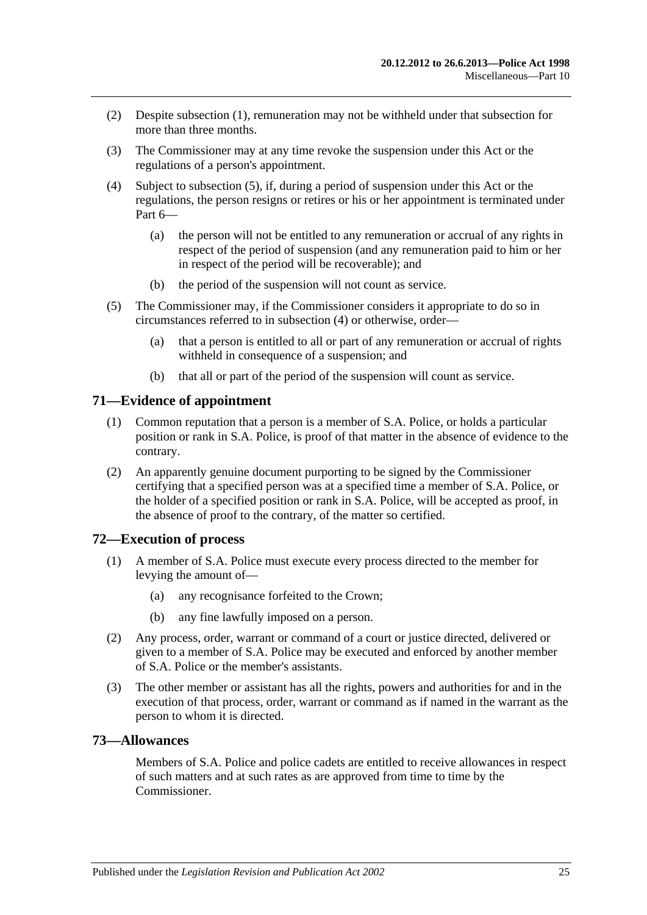- (2) Despite [subsection](#page-23-5) (1), remuneration may not be withheld under that subsection for more than three months.
- (3) The Commissioner may at any time revoke the suspension under this Act or the regulations of a person's appointment.
- <span id="page-24-4"></span>(4) Subject to [subsection](#page-24-3) (5), if, during a period of suspension under this Act or the regulations, the person resigns or retires or his or her appointment is terminated under [Part](#page-12-6) 6—
	- (a) the person will not be entitled to any remuneration or accrual of any rights in respect of the period of suspension (and any remuneration paid to him or her in respect of the period will be recoverable); and
	- (b) the period of the suspension will not count as service.
- <span id="page-24-3"></span>(5) The Commissioner may, if the Commissioner considers it appropriate to do so in circumstances referred to in [subsection](#page-24-4) (4) or otherwise, order—
	- (a) that a person is entitled to all or part of any remuneration or accrual of rights withheld in consequence of a suspension; and
	- (b) that all or part of the period of the suspension will count as service.

#### <span id="page-24-0"></span>**71—Evidence of appointment**

- (1) Common reputation that a person is a member of S.A. Police, or holds a particular position or rank in S.A. Police, is proof of that matter in the absence of evidence to the contrary.
- (2) An apparently genuine document purporting to be signed by the Commissioner certifying that a specified person was at a specified time a member of S.A. Police, or the holder of a specified position or rank in S.A. Police, will be accepted as proof, in the absence of proof to the contrary, of the matter so certified.

#### <span id="page-24-1"></span>**72—Execution of process**

- (1) A member of S.A. Police must execute every process directed to the member for levying the amount of—
	- (a) any recognisance forfeited to the Crown;
	- (b) any fine lawfully imposed on a person.
- (2) Any process, order, warrant or command of a court or justice directed, delivered or given to a member of S.A. Police may be executed and enforced by another member of S.A. Police or the member's assistants.
- (3) The other member or assistant has all the rights, powers and authorities for and in the execution of that process, order, warrant or command as if named in the warrant as the person to whom it is directed.

#### <span id="page-24-2"></span>**73—Allowances**

Members of S.A. Police and police cadets are entitled to receive allowances in respect of such matters and at such rates as are approved from time to time by the Commissioner.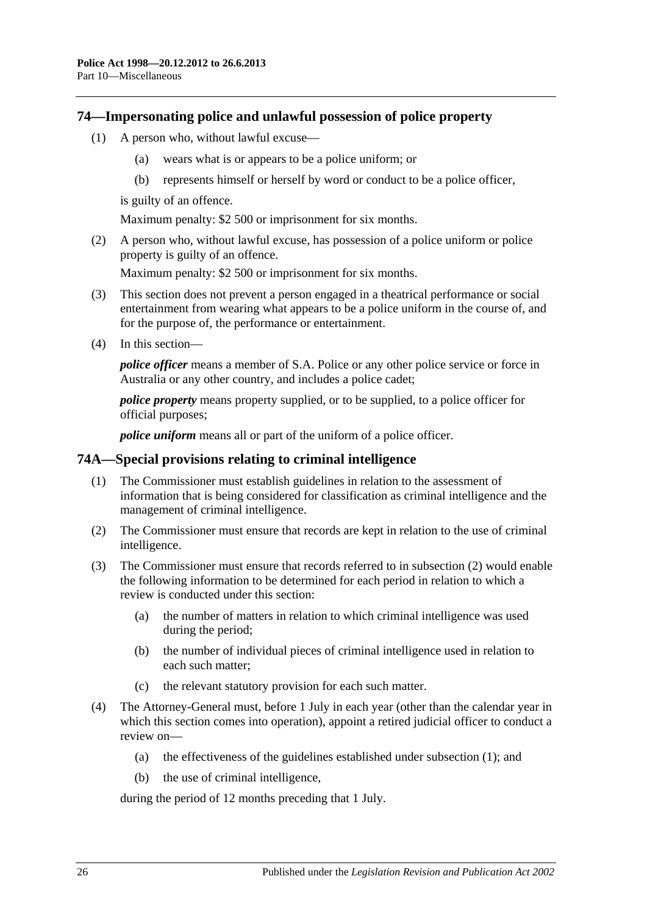#### <span id="page-25-0"></span>**74—Impersonating police and unlawful possession of police property**

- (1) A person who, without lawful excuse—
	- (a) wears what is or appears to be a police uniform; or
	- (b) represents himself or herself by word or conduct to be a police officer,

is guilty of an offence.

Maximum penalty: \$2 500 or imprisonment for six months.

(2) A person who, without lawful excuse, has possession of a police uniform or police property is guilty of an offence.

Maximum penalty: \$2 500 or imprisonment for six months.

- (3) This section does not prevent a person engaged in a theatrical performance or social entertainment from wearing what appears to be a police uniform in the course of, and for the purpose of, the performance or entertainment.
- (4) In this section—

*police officer* means a member of S.A. Police or any other police service or force in Australia or any other country, and includes a police cadet;

*police property* means property supplied, or to be supplied, to a police officer for official purposes;

*police uniform* means all or part of the uniform of a police officer.

#### <span id="page-25-3"></span><span id="page-25-1"></span>**74A—Special provisions relating to criminal intelligence**

- (1) The Commissioner must establish guidelines in relation to the assessment of information that is being considered for classification as criminal intelligence and the management of criminal intelligence.
- <span id="page-25-2"></span>(2) The Commissioner must ensure that records are kept in relation to the use of criminal intelligence.
- (3) The Commissioner must ensure that records referred to in [subsection](#page-25-2) (2) would enable the following information to be determined for each period in relation to which a review is conducted under this section:
	- (a) the number of matters in relation to which criminal intelligence was used during the period;
	- (b) the number of individual pieces of criminal intelligence used in relation to each such matter;
	- (c) the relevant statutory provision for each such matter.
- (4) The Attorney-General must, before 1 July in each year (other than the calendar year in which this section comes into operation), appoint a retired judicial officer to conduct a review on—
	- (a) the effectiveness of the guidelines established under [subsection](#page-25-3) (1); and
	- (b) the use of criminal intelligence,

during the period of 12 months preceding that 1 July.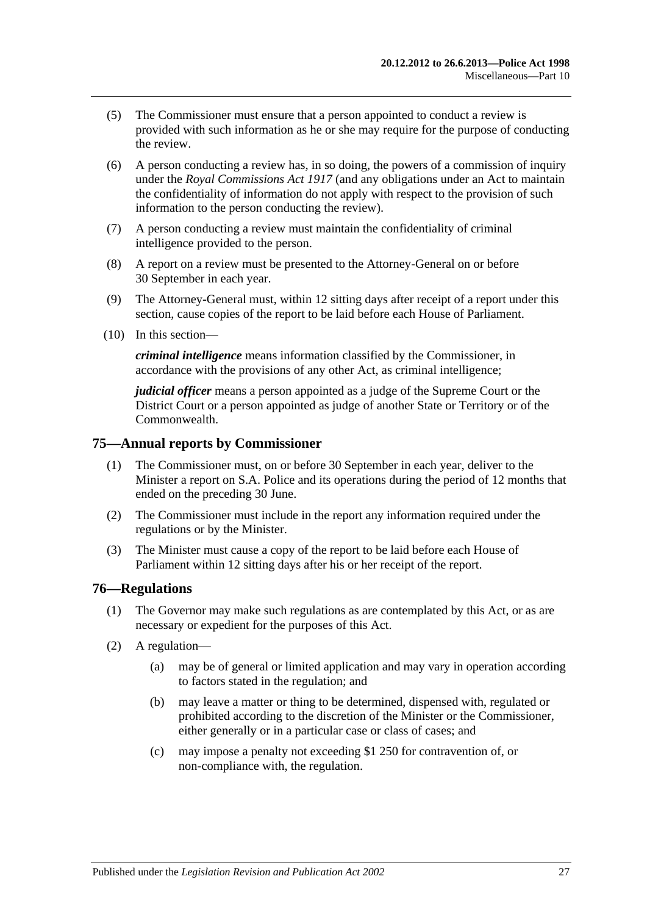- (5) The Commissioner must ensure that a person appointed to conduct a review is provided with such information as he or she may require for the purpose of conducting the review.
- (6) A person conducting a review has, in so doing, the powers of a commission of inquiry under the *[Royal Commissions Act](http://www.legislation.sa.gov.au/index.aspx?action=legref&type=act&legtitle=Royal%20Commissions%20Act%201917) 1917* (and any obligations under an Act to maintain the confidentiality of information do not apply with respect to the provision of such information to the person conducting the review).
- (7) A person conducting a review must maintain the confidentiality of criminal intelligence provided to the person.
- (8) A report on a review must be presented to the Attorney-General on or before 30 September in each year.
- (9) The Attorney-General must, within 12 sitting days after receipt of a report under this section, cause copies of the report to be laid before each House of Parliament.
- (10) In this section—

*criminal intelligence* means information classified by the Commissioner, in accordance with the provisions of any other Act, as criminal intelligence;

*judicial officer* means a person appointed as a judge of the Supreme Court or the District Court or a person appointed as judge of another State or Territory or of the Commonwealth.

#### <span id="page-26-0"></span>**75—Annual reports by Commissioner**

- (1) The Commissioner must, on or before 30 September in each year, deliver to the Minister a report on S.A. Police and its operations during the period of 12 months that ended on the preceding 30 June.
- (2) The Commissioner must include in the report any information required under the regulations or by the Minister.
- (3) The Minister must cause a copy of the report to be laid before each House of Parliament within 12 sitting days after his or her receipt of the report.

#### <span id="page-26-1"></span>**76—Regulations**

- (1) The Governor may make such regulations as are contemplated by this Act, or as are necessary or expedient for the purposes of this Act.
- (2) A regulation—
	- (a) may be of general or limited application and may vary in operation according to factors stated in the regulation; and
	- (b) may leave a matter or thing to be determined, dispensed with, regulated or prohibited according to the discretion of the Minister or the Commissioner, either generally or in a particular case or class of cases; and
	- (c) may impose a penalty not exceeding \$1 250 for contravention of, or non-compliance with, the regulation.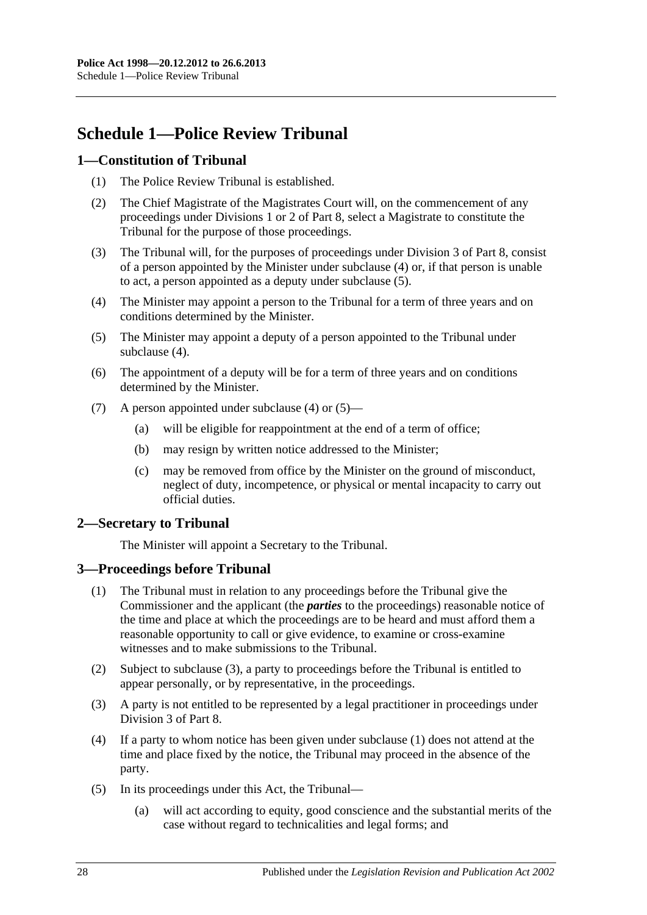# <span id="page-27-0"></span>**Schedule 1—Police Review Tribunal**

## <span id="page-27-1"></span>**1—Constitution of Tribunal**

- (1) The Police Review Tribunal is established.
- (2) The Chief Magistrate of the Magistrates Court will, on the commencement of any proceedings under [Divisions 1](#page-18-2) or [2](#page-19-3) of [Part 8,](#page-18-1) select a Magistrate to constitute the Tribunal for the purpose of those proceedings.
- (3) The Tribunal will, for the purposes of proceedings under [Division 3](#page-20-0) of [Part 8,](#page-18-1) consist of a person appointed by the Minister under [subclause](#page-27-4) (4) or, if that person is unable to act, a person appointed as a deputy under [subclause](#page-27-5) (5).
- <span id="page-27-4"></span>(4) The Minister may appoint a person to the Tribunal for a term of three years and on conditions determined by the Minister.
- <span id="page-27-5"></span>(5) The Minister may appoint a deputy of a person appointed to the Tribunal under [subclause](#page-27-4) (4).
- (6) The appointment of a deputy will be for a term of three years and on conditions determined by the Minister.
- (7) A person appointed under [subclause](#page-27-4) (4) or [\(5\)—](#page-27-5)
	- (a) will be eligible for reappointment at the end of a term of office;
	- (b) may resign by written notice addressed to the Minister;
	- (c) may be removed from office by the Minister on the ground of misconduct, neglect of duty, incompetence, or physical or mental incapacity to carry out official duties.

## <span id="page-27-2"></span>**2—Secretary to Tribunal**

The Minister will appoint a Secretary to the Tribunal.

## <span id="page-27-7"></span><span id="page-27-3"></span>**3—Proceedings before Tribunal**

- (1) The Tribunal must in relation to any proceedings before the Tribunal give the Commissioner and the applicant (the *parties* to the proceedings) reasonable notice of the time and place at which the proceedings are to be heard and must afford them a reasonable opportunity to call or give evidence, to examine or cross-examine witnesses and to make submissions to the Tribunal.
- (2) Subject to [subclause](#page-27-6) (3), a party to proceedings before the Tribunal is entitled to appear personally, or by representative, in the proceedings.
- <span id="page-27-6"></span>(3) A party is not entitled to be represented by a legal practitioner in proceedings under [Division 3](#page-20-0) of [Part 8.](#page-18-1)
- (4) If a party to whom notice has been given under [subclause](#page-27-7) (1) does not attend at the time and place fixed by the notice, the Tribunal may proceed in the absence of the party.
- (5) In its proceedings under this Act, the Tribunal—
	- (a) will act according to equity, good conscience and the substantial merits of the case without regard to technicalities and legal forms; and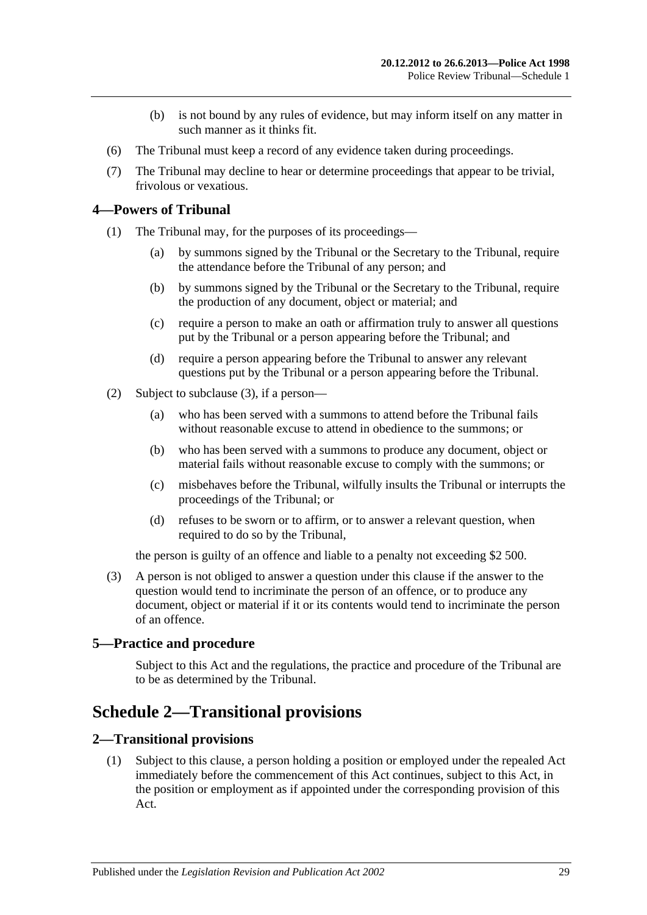- (b) is not bound by any rules of evidence, but may inform itself on any matter in such manner as it thinks fit.
- (6) The Tribunal must keep a record of any evidence taken during proceedings.
- (7) The Tribunal may decline to hear or determine proceedings that appear to be trivial, frivolous or vexatious.

#### <span id="page-28-0"></span>**4—Powers of Tribunal**

- (1) The Tribunal may, for the purposes of its proceedings—
	- (a) by summons signed by the Tribunal or the Secretary to the Tribunal, require the attendance before the Tribunal of any person; and
	- (b) by summons signed by the Tribunal or the Secretary to the Tribunal, require the production of any document, object or material; and
	- (c) require a person to make an oath or affirmation truly to answer all questions put by the Tribunal or a person appearing before the Tribunal; and
	- (d) require a person appearing before the Tribunal to answer any relevant questions put by the Tribunal or a person appearing before the Tribunal.
- (2) Subject to [subclause](#page-28-4) (3), if a person—
	- (a) who has been served with a summons to attend before the Tribunal fails without reasonable excuse to attend in obedience to the summons; or
	- (b) who has been served with a summons to produce any document, object or material fails without reasonable excuse to comply with the summons; or
	- (c) misbehaves before the Tribunal, wilfully insults the Tribunal or interrupts the proceedings of the Tribunal; or
	- (d) refuses to be sworn or to affirm, or to answer a relevant question, when required to do so by the Tribunal,

the person is guilty of an offence and liable to a penalty not exceeding \$2 500.

<span id="page-28-4"></span>(3) A person is not obliged to answer a question under this clause if the answer to the question would tend to incriminate the person of an offence, or to produce any document, object or material if it or its contents would tend to incriminate the person of an offence.

## <span id="page-28-1"></span>**5—Practice and procedure**

Subject to this Act and the regulations, the practice and procedure of the Tribunal are to be as determined by the Tribunal.

## <span id="page-28-2"></span>**Schedule 2—Transitional provisions**

#### <span id="page-28-5"></span><span id="page-28-3"></span>**2—Transitional provisions**

(1) Subject to this clause, a person holding a position or employed under the repealed Act immediately before the commencement of this Act continues, subject to this Act, in the position or employment as if appointed under the corresponding provision of this Act.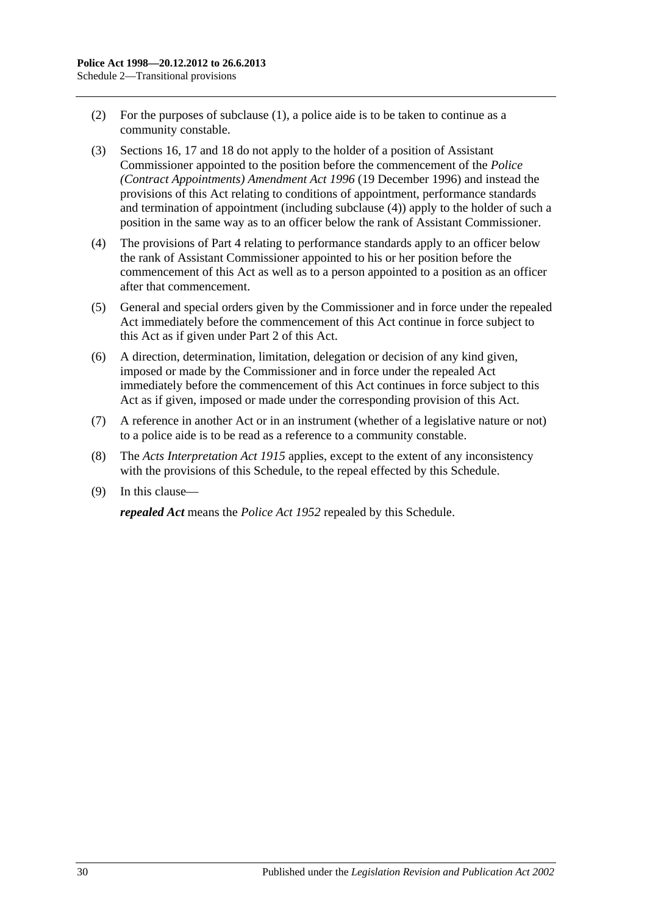- (2) For the purposes of [subclause](#page-28-5) (1), a police aide is to be taken to continue as a community constable.
- (3) [Sections](#page-7-0) 16, [17](#page-7-1) and [18](#page-8-0) do not apply to the holder of a position of Assistant Commissioner appointed to the position before the commencement of the *[Police](http://www.legislation.sa.gov.au/index.aspx?action=legref&type=act&legtitle=Police%20(Contract%20Appointments)%20Amendment%20Act%201996)  [\(Contract Appointments\) Amendment Act](http://www.legislation.sa.gov.au/index.aspx?action=legref&type=act&legtitle=Police%20(Contract%20Appointments)%20Amendment%20Act%201996) 1996* (19 December 1996) and instead the provisions of this Act relating to conditions of appointment, performance standards and termination of appointment (including [subclause](#page-29-0) (4)) apply to the holder of such a position in the same way as to an officer below the rank of Assistant Commissioner.
- <span id="page-29-0"></span>(4) The provisions of [Part 4](#page-9-0) relating to performance standards apply to an officer below the rank of Assistant Commissioner appointed to his or her position before the commencement of this Act as well as to a person appointed to a position as an officer after that commencement.
- (5) General and special orders given by the Commissioner and in force under the repealed Act immediately before the commencement of this Act continue in force subject to this Act as if given under [Part 2](#page-3-0) of this Act.
- (6) A direction, determination, limitation, delegation or decision of any kind given, imposed or made by the Commissioner and in force under the repealed Act immediately before the commencement of this Act continues in force subject to this Act as if given, imposed or made under the corresponding provision of this Act.
- (7) A reference in another Act or in an instrument (whether of a legislative nature or not) to a police aide is to be read as a reference to a community constable.
- (8) The *[Acts Interpretation Act](http://www.legislation.sa.gov.au/index.aspx?action=legref&type=act&legtitle=Acts%20Interpretation%20Act%201915) 1915* applies, except to the extent of any inconsistency with the provisions of this Schedule, to the repeal effected by this Schedule.
- (9) In this clause—

*repealed Act* means the *[Police Act](http://www.legislation.sa.gov.au/index.aspx?action=legref&type=act&legtitle=Police%20Act%201952) 1952* repealed by this Schedule.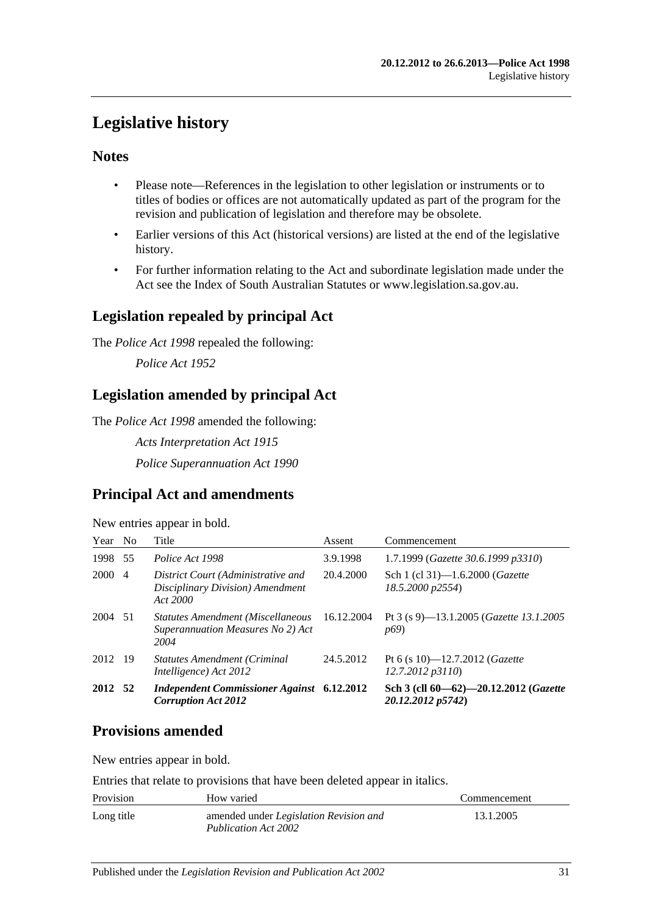# <span id="page-30-0"></span>**Legislative history**

## **Notes**

- Please note—References in the legislation to other legislation or instruments or to titles of bodies or offices are not automatically updated as part of the program for the revision and publication of legislation and therefore may be obsolete.
- Earlier versions of this Act (historical versions) are listed at the end of the legislative history.
- For further information relating to the Act and subordinate legislation made under the Act see the Index of South Australian Statutes or www.legislation.sa.gov.au.

## **Legislation repealed by principal Act**

The *Police Act 1998* repealed the following:

*Police Act 1952*

## **Legislation amended by principal Act**

The *Police Act 1998* amended the following:

*Acts Interpretation Act 1915*

*Police Superannuation Act 1990*

## **Principal Act and amendments**

New entries appear in bold.

| Year    | N <sub>o</sub> | Title                                                                                 | Assent     | Commencement                                                                |
|---------|----------------|---------------------------------------------------------------------------------------|------------|-----------------------------------------------------------------------------|
| 1998 55 |                | Police Act 1998                                                                       | 3.9.1998   | 1.7.1999 (Gazette 30.6.1999 p3310)                                          |
| 2000 4  |                | District Court (Administrative and<br>Disciplinary Division) Amendment<br>Act 2000    | 20.4.2000  | Sch 1 (cl 31)-1.6.2000 ( <i>Gazette</i><br>18.5.2000 p2554)                 |
| 2004 51 |                | <b>Statutes Amendment (Miscellaneous</b><br>Superannuation Measures No 2) Act<br>2004 | 16.12.2004 | Pt 3 (s 9)-13.1.2005 ( <i>Gazette 13.1.2005</i><br><i>p</i> <sup>69</sup> ) |
| 2012 19 |                | <b>Statutes Amendment (Criminal</b><br>Intelligence) Act 2012                         | 24.5.2012  | Pt 6 (s 10)—12.7.2012 ( <i>Gazette</i><br>12.7.2012 p3110                   |
| 2012 52 |                | <b>Independent Commissioner Against</b> 6.12.2012<br><b>Corruption Act 2012</b>       |            | Sch 3 (cll 60-62)-20.12.2012 (Gazette<br>20.12.2012 p5742)                  |

## **Provisions amended**

New entries appear in bold.

Entries that relate to provisions that have been deleted appear in italics.

| Provision  | How varied                                                                   | Commencement |
|------------|------------------------------------------------------------------------------|--------------|
| Long title | amended under <i>Legislation Revision and</i><br><b>Publication Act 2002</b> | 13.1.2005    |